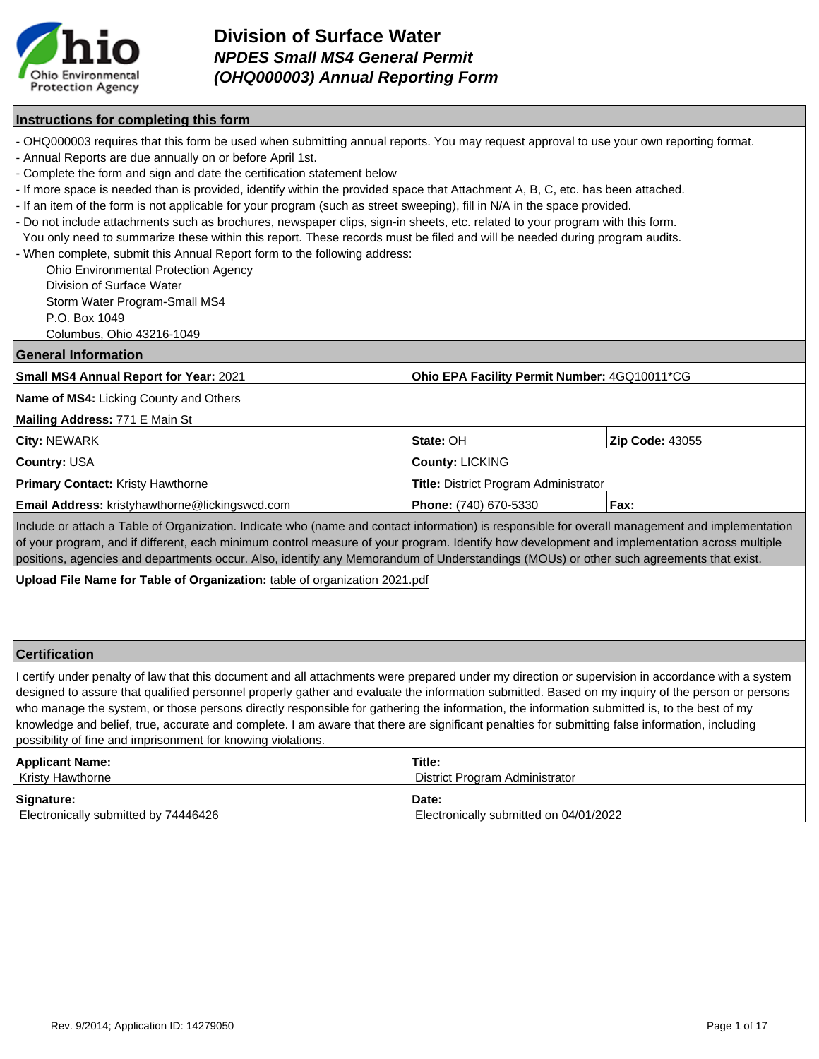

### **Instructions for completing this form**

- OHQ000003 requires that this form be used when submitting annual reports. You may request approval to use your own reporting format.
- Annual Reports are due annually on or before April 1st.

- Complete the form and sign and date the certification statement below

- If more space is needed than is provided, identify within the provided space that Attachment A, B, C, etc. has been attached.
- If an item of the form is not applicable for your program (such as street sweeping), fill in N/A in the space provided.
- Do not include attachments such as brochures, newspaper clips, sign-in sheets, etc. related to your program with this form.
- You only need to summarize these within this report. These records must be filed and will be needed during program audits.

When complete, submit this Annual Report form to the following address:

Ohio Environmental Protection Agency

Division of Surface Water

Storm Water Program-Small MS4

P.O. Box 1049

Columbus, Ohio 43216-1049

#### **General Information**

| Small MS4 Annual Report for Year: 2021 | <b>Ohio EPA Facility Permit Number: 4GQ10011*CG</b> |
|----------------------------------------|-----------------------------------------------------|
|----------------------------------------|-----------------------------------------------------|

**Name of MS4:** Licking County and Others

#### **Mailing Address:** 771 E Main St

| <b>City: NEWARK</b>                                   | <b>State: OH</b>                             | <b>Zip Code: 43055</b> |
|-------------------------------------------------------|----------------------------------------------|------------------------|
| <b>Country: USA</b>                                   | <b>County: LICKING</b>                       |                        |
| <b>Primary Contact:</b> Kristy Hawthorne              | <b>Title:</b> District Program Administrator |                        |
| <b>Email Address:</b> kristyhawthorne@lickingswcd.com | Phone: (740) 670-5330                        | Fax:                   |

Include or attach a Table of Organization. Indicate who (name and contact information) is responsible for overall management and implementation of your program, and if different, each minimum control measure of your program. Identify how development and implementation across multiple positions, agencies and departments occur. Also, identify any Memorandum of Understandings (MOUs) or other such agreements that exist.

**Upload File Name for Table of Organization:** table of organization 2021.pdf

### **Certification**

I certify under penalty of law that this document and all attachments were prepared under my direction or supervision in accordance with a system designed to assure that qualified personnel properly gather and evaluate the information submitted. Based on my inquiry of the person or persons who manage the system, or those persons directly responsible for gathering the information, the information submitted is, to the best of my knowledge and belief, true, accurate and complete. I am aware that there are significant penalties for submitting false information, including possibility of fine and imprisonment for knowing violations.

| <b>Applicant Name:</b>               | Title:                                 |
|--------------------------------------|----------------------------------------|
| Kristy Hawthorne                     | District Program Administrator         |
| Signature:                           | Date:                                  |
| Electronically submitted by 74446426 | Electronically submitted on 04/01/2022 |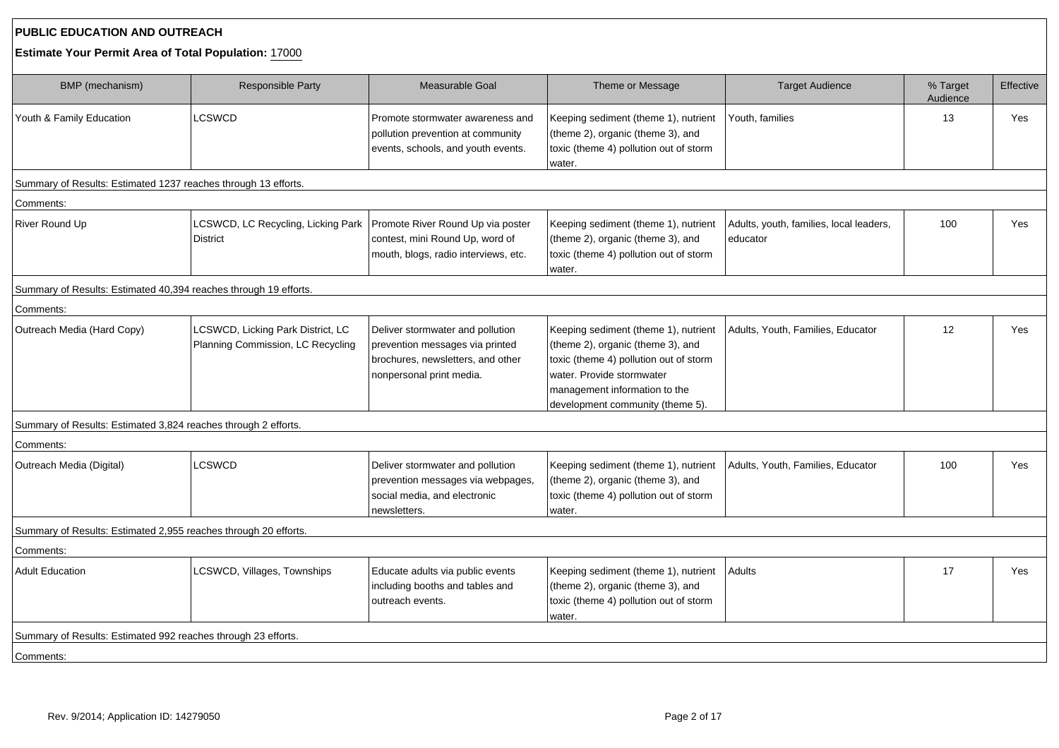# **PUBLIC EDUCATION AND OUTREACH**

## **Estimate Your Permit Area of Total Population:** 17000

| BMP (mechanism)                                                  | Responsible Party                                                                  | Measurable Goal                                                                                                                      | Theme or Message                                                                                                                                                                                                      | <b>Target Audience</b>                              | % Target<br>Audience | Effective  |
|------------------------------------------------------------------|------------------------------------------------------------------------------------|--------------------------------------------------------------------------------------------------------------------------------------|-----------------------------------------------------------------------------------------------------------------------------------------------------------------------------------------------------------------------|-----------------------------------------------------|----------------------|------------|
| Youth & Family Education                                         | <b>LCSWCD</b>                                                                      | Promote stormwater awareness and<br>pollution prevention at community<br>events, schools, and youth events.                          | Keeping sediment (theme 1), nutrient<br>(theme 2), organic (theme 3), and<br>toxic (theme 4) pollution out of storm<br>water.                                                                                         | Youth, families                                     | 13                   | Yes        |
| Summary of Results: Estimated 1237 reaches through 13 efforts.   |                                                                                    |                                                                                                                                      |                                                                                                                                                                                                                       |                                                     |                      |            |
| Comments:                                                        |                                                                                    |                                                                                                                                      |                                                                                                                                                                                                                       |                                                     |                      |            |
| River Round Up                                                   | LCSWCD, LC Recycling, Licking Park   Promote River Round Up via poster<br>District | contest, mini Round Up, word of<br>mouth, blogs, radio interviews, etc.                                                              | Keeping sediment (theme 1), nutrient<br>(theme 2), organic (theme 3), and<br>toxic (theme 4) pollution out of storm<br>water.                                                                                         | Adults, youth, families, local leaders,<br>educator | 100                  | <b>Yes</b> |
| Summary of Results: Estimated 40,394 reaches through 19 efforts. |                                                                                    |                                                                                                                                      |                                                                                                                                                                                                                       |                                                     |                      |            |
| Comments:                                                        |                                                                                    |                                                                                                                                      |                                                                                                                                                                                                                       |                                                     |                      |            |
| Outreach Media (Hard Copy)                                       | LCSWCD, Licking Park District, LC<br>Planning Commission, LC Recycling             | Deliver stormwater and pollution<br>prevention messages via printed<br>brochures, newsletters, and other<br>nonpersonal print media. | Keeping sediment (theme 1), nutrient<br>(theme 2), organic (theme 3), and<br>toxic (theme 4) pollution out of storm<br>water. Provide stormwater<br>management information to the<br>development community (theme 5). | Adults, Youth, Families, Educator                   | 12                   | Yes        |
| Summary of Results: Estimated 3,824 reaches through 2 efforts.   |                                                                                    |                                                                                                                                      |                                                                                                                                                                                                                       |                                                     |                      |            |
| Comments:                                                        |                                                                                    |                                                                                                                                      |                                                                                                                                                                                                                       |                                                     |                      |            |
| Outreach Media (Digital)                                         | <b>LCSWCD</b>                                                                      | Deliver stormwater and pollution<br>prevention messages via webpages,<br>social media, and electronic<br>newsletters.                | Keeping sediment (theme 1), nutrient<br>(theme 2), organic (theme 3), and<br>toxic (theme 4) pollution out of storm<br>water.                                                                                         | Adults, Youth, Families, Educator                   | 100                  | Yes        |
| Summary of Results: Estimated 2,955 reaches through 20 efforts.  |                                                                                    |                                                                                                                                      |                                                                                                                                                                                                                       |                                                     |                      |            |
| Comments:                                                        |                                                                                    |                                                                                                                                      |                                                                                                                                                                                                                       |                                                     |                      |            |
| <b>Adult Education</b>                                           | LCSWCD, Villages, Townships                                                        | Educate adults via public events<br>including booths and tables and<br>outreach events.                                              | Keeping sediment (theme 1), nutrient<br>(theme 2), organic (theme 3), and<br>toxic (theme 4) pollution out of storm<br>water.                                                                                         | Adults                                              | 17                   | <b>Yes</b> |
| Summary of Results: Estimated 992 reaches through 23 efforts.    |                                                                                    |                                                                                                                                      |                                                                                                                                                                                                                       |                                                     |                      |            |
| Comments:                                                        |                                                                                    |                                                                                                                                      |                                                                                                                                                                                                                       |                                                     |                      |            |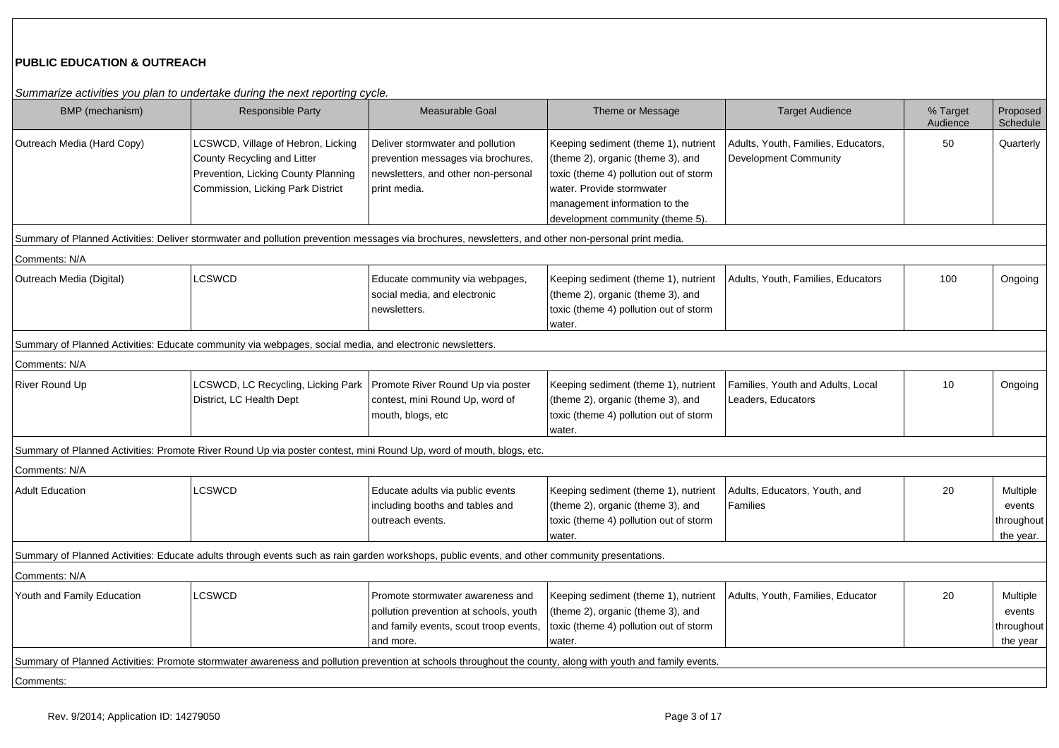# **PUBLIC EDUCATION & OUTREACH**

Summarize activities you plan to undertake during the next reporting cycle.

| BMP (mechanism)            | Cammanzo activities you plan to andertake damig the next reporting cycle.<br><b>Responsible Party</b>                                                      | Measurable Goal                                                                                                                   | Theme or Message                                                                                                                                                                                                      | <b>Target Audience</b>                                       | % Target<br>Audience | Proposed<br>Schedule                          |
|----------------------------|------------------------------------------------------------------------------------------------------------------------------------------------------------|-----------------------------------------------------------------------------------------------------------------------------------|-----------------------------------------------------------------------------------------------------------------------------------------------------------------------------------------------------------------------|--------------------------------------------------------------|----------------------|-----------------------------------------------|
| Outreach Media (Hard Copy) | LCSWCD, Village of Hebron, Licking<br>County Recycling and Litter<br>Prevention, Licking County Planning<br>Commission, Licking Park District              | Deliver stormwater and pollution<br>prevention messages via brochures,<br>newsletters, and other non-personal<br>print media.     | Keeping sediment (theme 1), nutrient<br>(theme 2), organic (theme 3), and<br>toxic (theme 4) pollution out of storm<br>water. Provide stormwater<br>management information to the<br>development community (theme 5). | Adults, Youth, Families, Educators,<br>Development Community | 50                   | Quarterly                                     |
|                            | Summary of Planned Activities: Deliver stormwater and pollution prevention messages via brochures, newsletters, and other non-personal print media.        |                                                                                                                                   |                                                                                                                                                                                                                       |                                                              |                      |                                               |
| Comments: N/A              |                                                                                                                                                            |                                                                                                                                   |                                                                                                                                                                                                                       |                                                              |                      |                                               |
| Outreach Media (Digital)   | <b>LCSWCD</b>                                                                                                                                              | Educate community via webpages,<br>social media, and electronic<br>newsletters.                                                   | Keeping sediment (theme 1), nutrient<br>(theme 2), organic (theme 3), and<br>toxic (theme 4) pollution out of storm<br>water.                                                                                         | Adults, Youth, Families, Educators                           | 100                  | Ongoing                                       |
|                            | Summary of Planned Activities: Educate community via webpages, social media, and electronic newsletters.                                                   |                                                                                                                                   |                                                                                                                                                                                                                       |                                                              |                      |                                               |
| Comments: N/A              |                                                                                                                                                            |                                                                                                                                   |                                                                                                                                                                                                                       |                                                              |                      |                                               |
| River Round Up             | LCSWCD, LC Recycling, Licking Park<br>District, LC Health Dept                                                                                             | Promote River Round Up via poster<br>contest, mini Round Up, word of<br>mouth, blogs, etc                                         | Keeping sediment (theme 1), nutrient<br>(theme 2), organic (theme 3), and<br>toxic (theme 4) pollution out of storm<br>water.                                                                                         | Families, Youth and Adults, Local<br>Leaders, Educators      | 10                   | Ongoing                                       |
|                            | Summary of Planned Activities: Promote River Round Up via poster contest, mini Round Up, word of mouth, blogs, etc.                                        |                                                                                                                                   |                                                                                                                                                                                                                       |                                                              |                      |                                               |
| Comments: N/A              |                                                                                                                                                            |                                                                                                                                   |                                                                                                                                                                                                                       |                                                              |                      |                                               |
| <b>Adult Education</b>     | LCSWCD                                                                                                                                                     | Educate adults via public events<br>including booths and tables and<br>outreach events.                                           | Keeping sediment (theme 1), nutrient<br>(theme 2), organic (theme 3), and<br>toxic (theme 4) pollution out of storm<br>water.                                                                                         | Adults, Educators, Youth, and<br>Families                    | 20                   | Multiple<br>events<br>throughout<br>the year. |
|                            | Summary of Planned Activities: Educate adults through events such as rain garden workshops, public events, and other community presentations.              |                                                                                                                                   |                                                                                                                                                                                                                       |                                                              |                      |                                               |
| Comments: N/A              |                                                                                                                                                            |                                                                                                                                   |                                                                                                                                                                                                                       |                                                              |                      |                                               |
| Youth and Family Education | LCSWCD                                                                                                                                                     | Promote stormwater awareness and<br>pollution prevention at schools, youth<br>and family events, scout troop events,<br>and more. | Keeping sediment (theme 1), nutrient<br>(theme 2), organic (theme 3), and<br>toxic (theme 4) pollution out of storm<br>water.                                                                                         | Adults, Youth, Families, Educator                            | 20                   | Multiple<br>events<br>throughout<br>the year  |
|                            | Summary of Planned Activities: Promote stormwater awareness and pollution prevention at schools throughout the county, along with youth and family events. |                                                                                                                                   |                                                                                                                                                                                                                       |                                                              |                      |                                               |
| Comments:                  |                                                                                                                                                            |                                                                                                                                   |                                                                                                                                                                                                                       |                                                              |                      |                                               |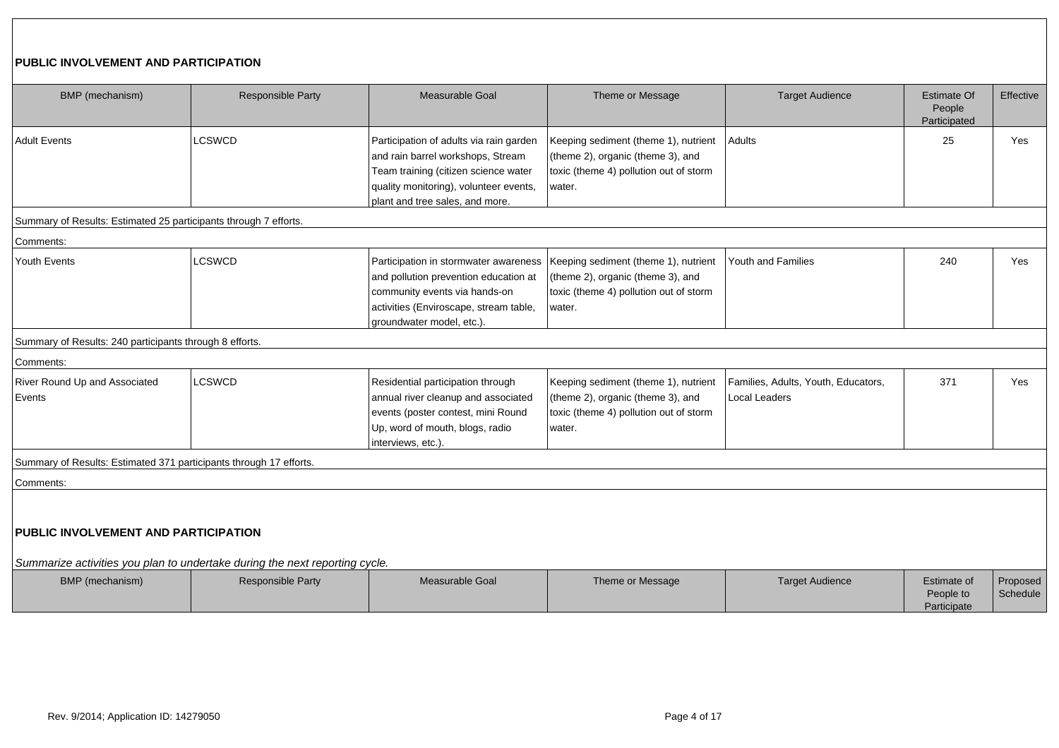# **PUBLIC INVOLVEMENT AND PARTICIPATION**

| BMP (mechanism)                                                    | Responsible Party                                                           | Measurable Goal                                                                                                                                                                                   | Theme or Message                                                                                                              | <b>Target Audience</b>                                      | <b>Estimate Of</b><br>People<br>Participated | Effective            |
|--------------------------------------------------------------------|-----------------------------------------------------------------------------|---------------------------------------------------------------------------------------------------------------------------------------------------------------------------------------------------|-------------------------------------------------------------------------------------------------------------------------------|-------------------------------------------------------------|----------------------------------------------|----------------------|
| <b>Adult Events</b>                                                | <b>LCSWCD</b>                                                               | Participation of adults via rain garden<br>and rain barrel workshops, Stream<br>Team training (citizen science water<br>quality monitoring), volunteer events,<br>plant and tree sales, and more. | Keeping sediment (theme 1), nutrient<br>(theme 2), organic (theme 3), and<br>toxic (theme 4) pollution out of storm<br>water. | Adults                                                      | 25                                           | Yes                  |
| Summary of Results: Estimated 25 participants through 7 efforts.   |                                                                             |                                                                                                                                                                                                   |                                                                                                                               |                                                             |                                              |                      |
| Comments:                                                          |                                                                             |                                                                                                                                                                                                   |                                                                                                                               |                                                             |                                              |                      |
| <b>Youth Events</b>                                                | <b>LCSWCD</b>                                                               | Participation in stormwater awareness<br>and pollution prevention education at<br>community events via hands-on<br>activities (Enviroscape, stream table,<br>groundwater model, etc.).            | Keeping sediment (theme 1), nutrient<br>(theme 2), organic (theme 3), and<br>toxic (theme 4) pollution out of storm<br>water. | Youth and Families                                          | 240                                          | Yes                  |
| Summary of Results: 240 participants through 8 efforts.            |                                                                             |                                                                                                                                                                                                   |                                                                                                                               |                                                             |                                              |                      |
| Comments:                                                          |                                                                             |                                                                                                                                                                                                   |                                                                                                                               |                                                             |                                              |                      |
| River Round Up and Associated<br>Events                            | <b>LCSWCD</b>                                                               | Residential participation through<br>annual river cleanup and associated<br>events (poster contest, mini Round<br>Up, word of mouth, blogs, radio<br>interviews, etc.).                           | Keeping sediment (theme 1), nutrient<br>(theme 2), organic (theme 3), and<br>toxic (theme 4) pollution out of storm<br>water. | Families, Adults, Youth, Educators,<br><b>Local Leaders</b> | 371                                          | Yes                  |
| Summary of Results: Estimated 371 participants through 17 efforts. |                                                                             |                                                                                                                                                                                                   |                                                                                                                               |                                                             |                                              |                      |
| Comments:                                                          |                                                                             |                                                                                                                                                                                                   |                                                                                                                               |                                                             |                                              |                      |
| <b>PUBLIC INVOLVEMENT AND PARTICIPATION</b>                        | Summarize activities you plan to undertake during the next reporting cycle. |                                                                                                                                                                                                   |                                                                                                                               |                                                             |                                              |                      |
| BMP (mechanism)                                                    | <b>Responsible Party</b>                                                    | Measurable Goal                                                                                                                                                                                   | Theme or Message                                                                                                              | <b>Target Audience</b>                                      | Estimate of<br>People to<br>Participate      | Proposed<br>Schedule |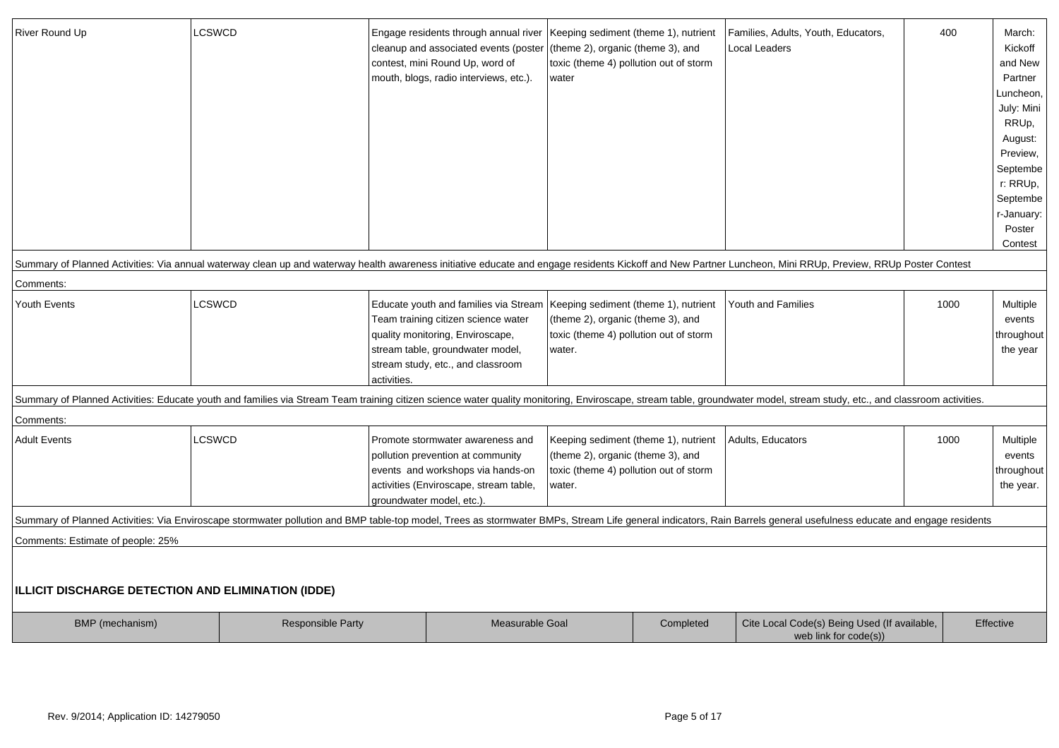| River Round Up                                            | LCSWCD                                                                                                                                                                                                                   | Engage residents through annual river<br>cleanup and associated events (poster | Keeping sediment (theme 1), nutrient<br>(theme 2), organic (theme 3), and |           | Families, Adults, Youth, Educators,<br>Local Leaders | 400  | March:<br>Kickoff |
|-----------------------------------------------------------|--------------------------------------------------------------------------------------------------------------------------------------------------------------------------------------------------------------------------|--------------------------------------------------------------------------------|---------------------------------------------------------------------------|-----------|------------------------------------------------------|------|-------------------|
|                                                           |                                                                                                                                                                                                                          | contest, mini Round Up, word of                                                | toxic (theme 4) pollution out of storm                                    |           |                                                      |      | and New           |
|                                                           |                                                                                                                                                                                                                          | mouth, blogs, radio interviews, etc.).                                         | water                                                                     |           |                                                      |      | Partner           |
|                                                           |                                                                                                                                                                                                                          |                                                                                |                                                                           |           |                                                      |      | Luncheon,         |
|                                                           |                                                                                                                                                                                                                          |                                                                                |                                                                           |           |                                                      |      | July: Mini        |
|                                                           |                                                                                                                                                                                                                          |                                                                                |                                                                           |           |                                                      |      | RRUp,             |
|                                                           |                                                                                                                                                                                                                          |                                                                                |                                                                           |           |                                                      |      | August:           |
|                                                           |                                                                                                                                                                                                                          |                                                                                |                                                                           |           |                                                      |      | Preview,          |
|                                                           |                                                                                                                                                                                                                          |                                                                                |                                                                           |           |                                                      |      | Septembe          |
|                                                           |                                                                                                                                                                                                                          |                                                                                |                                                                           |           |                                                      |      | r: RRUp,          |
|                                                           |                                                                                                                                                                                                                          |                                                                                |                                                                           |           |                                                      |      | Septembe          |
|                                                           |                                                                                                                                                                                                                          |                                                                                |                                                                           |           |                                                      |      | r-January:        |
|                                                           |                                                                                                                                                                                                                          |                                                                                |                                                                           |           |                                                      |      | Poster            |
|                                                           |                                                                                                                                                                                                                          |                                                                                |                                                                           |           |                                                      |      | Contest           |
|                                                           | Summary of Planned Activities: Via annual waterway clean up and waterway health awareness initiative educate and engage residents Kickoff and New Partner Luncheon, Mini RRUp, Preview, RRUp Poster Contest              |                                                                                |                                                                           |           |                                                      |      |                   |
| Comments:                                                 |                                                                                                                                                                                                                          |                                                                                |                                                                           |           |                                                      |      |                   |
| Youth Events                                              | LCSWCD                                                                                                                                                                                                                   | Educate youth and families via Stream   Keeping sediment (theme 1), nutrient   |                                                                           |           | <b>Youth and Families</b>                            | 1000 | Multiple          |
|                                                           |                                                                                                                                                                                                                          | Team training citizen science water                                            | (theme 2), organic (theme 3), and                                         |           |                                                      |      | events            |
|                                                           |                                                                                                                                                                                                                          | quality monitoring, Enviroscape,                                               | toxic (theme 4) pollution out of storm                                    |           |                                                      |      | throughout        |
|                                                           |                                                                                                                                                                                                                          | stream table, groundwater model,                                               | water.                                                                    |           |                                                      |      | the year          |
|                                                           |                                                                                                                                                                                                                          | stream study, etc., and classroom                                              |                                                                           |           |                                                      |      |                   |
|                                                           |                                                                                                                                                                                                                          | activities.                                                                    |                                                                           |           |                                                      |      |                   |
|                                                           | Summary of Planned Activities: Educate youth and families via Stream Team training citizen science water quality monitoring, Enviroscape, stream table, groundwater model, stream study, etc., and classroom activities. |                                                                                |                                                                           |           |                                                      |      |                   |
| Comments:                                                 |                                                                                                                                                                                                                          |                                                                                |                                                                           |           |                                                      |      |                   |
| <b>Adult Events</b>                                       | <b>LCSWCD</b>                                                                                                                                                                                                            | Promote stormwater awareness and                                               | Keeping sediment (theme 1), nutrient                                      |           | Adults, Educators                                    | 1000 | Multiple          |
|                                                           |                                                                                                                                                                                                                          | pollution prevention at community                                              | (theme 2), organic (theme 3), and                                         |           |                                                      |      | events            |
|                                                           |                                                                                                                                                                                                                          | events and workshops via hands-on                                              | toxic (theme 4) pollution out of storm                                    |           |                                                      |      | throughout        |
|                                                           |                                                                                                                                                                                                                          | activities (Enviroscape, stream table,                                         | water.                                                                    |           |                                                      |      | the year.         |
|                                                           |                                                                                                                                                                                                                          | groundwater model, etc.)                                                       |                                                                           |           |                                                      |      |                   |
|                                                           | Summary of Planned Activities: Via Enviroscape stormwater pollution and BMP table-top model, Trees as stormwater BMPs, Stream Life general indicators, Rain Barrels general usefulness educate and engage residents      |                                                                                |                                                                           |           |                                                      |      |                   |
| Comments: Estimate of people: 25%                         |                                                                                                                                                                                                                          |                                                                                |                                                                           |           |                                                      |      |                   |
|                                                           |                                                                                                                                                                                                                          |                                                                                |                                                                           |           |                                                      |      |                   |
|                                                           |                                                                                                                                                                                                                          |                                                                                |                                                                           |           |                                                      |      |                   |
| <b>ILLICIT DISCHARGE DETECTION AND ELIMINATION (IDDE)</b> |                                                                                                                                                                                                                          |                                                                                |                                                                           |           |                                                      |      |                   |
|                                                           | Responsible Party                                                                                                                                                                                                        | Measurable Goal                                                                |                                                                           | Completed | Cite Local Code(s) Being Used (If available,         |      | Effective         |
| BMP (mechanism)                                           |                                                                                                                                                                                                                          |                                                                                |                                                                           |           | web link for code(s))                                |      |                   |
|                                                           |                                                                                                                                                                                                                          |                                                                                |                                                                           |           |                                                      |      |                   |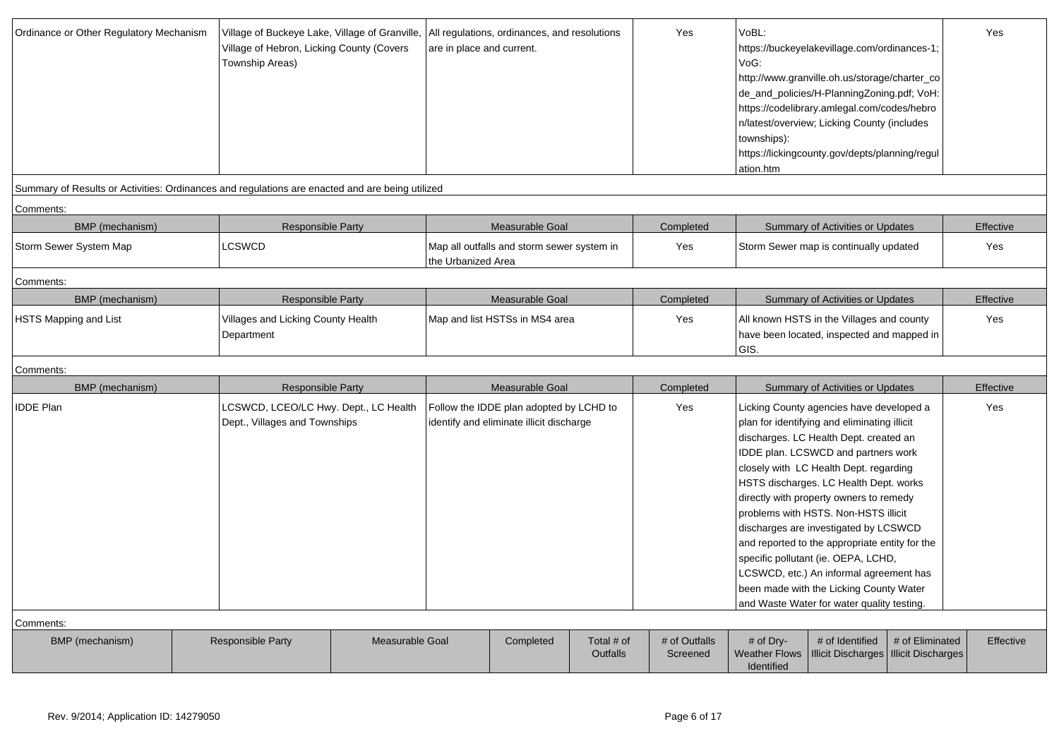| Ordinance or Other Regulatory Mechanism | Village of Hebron, Licking County (Covers<br>Township Areas)                                    | Village of Buckeye Lake, Village of Granville,  All regulations, ordinances, and resolutions<br>are in place and current. |                                                                                     | Yes                    | VoBL:<br>https://buckeyelakevillage.com/ordinances-1;<br>VoG:<br>http://www.granville.oh.us/storage/charter_co<br>de_and_policies/H-PlanningZoning.pdf; VoH:<br>https://codelibrary.amlegal.com/codes/hebro<br>n/latest/overview; Licking County (includes<br>townships):<br>https://lickingcounty.gov/depts/planning/regul<br>ation.htm |                                                 | Yes                                                                                                                                                                                                                                                                                                                                                                                                                                                                                                                                                                                                                    |           |
|-----------------------------------------|-------------------------------------------------------------------------------------------------|---------------------------------------------------------------------------------------------------------------------------|-------------------------------------------------------------------------------------|------------------------|------------------------------------------------------------------------------------------------------------------------------------------------------------------------------------------------------------------------------------------------------------------------------------------------------------------------------------------|-------------------------------------------------|------------------------------------------------------------------------------------------------------------------------------------------------------------------------------------------------------------------------------------------------------------------------------------------------------------------------------------------------------------------------------------------------------------------------------------------------------------------------------------------------------------------------------------------------------------------------------------------------------------------------|-----------|
|                                         | Summary of Results or Activities: Ordinances and regulations are enacted and are being utilized |                                                                                                                           |                                                                                     |                        |                                                                                                                                                                                                                                                                                                                                          |                                                 |                                                                                                                                                                                                                                                                                                                                                                                                                                                                                                                                                                                                                        |           |
| Comments:                               |                                                                                                 |                                                                                                                           |                                                                                     |                        |                                                                                                                                                                                                                                                                                                                                          |                                                 |                                                                                                                                                                                                                                                                                                                                                                                                                                                                                                                                                                                                                        |           |
| BMP (mechanism)                         | <b>Responsible Party</b>                                                                        |                                                                                                                           | Measurable Goal                                                                     |                        | Completed                                                                                                                                                                                                                                                                                                                                |                                                 | Summary of Activities or Updates                                                                                                                                                                                                                                                                                                                                                                                                                                                                                                                                                                                       | Effective |
| Storm Sewer System Map                  | <b>LCSWCD</b>                                                                                   | the Urbanized Area                                                                                                        | Map all outfalls and storm sewer system in                                          |                        | Yes                                                                                                                                                                                                                                                                                                                                      |                                                 | Storm Sewer map is continually updated                                                                                                                                                                                                                                                                                                                                                                                                                                                                                                                                                                                 | Yes       |
| Comments:                               |                                                                                                 |                                                                                                                           |                                                                                     |                        |                                                                                                                                                                                                                                                                                                                                          |                                                 |                                                                                                                                                                                                                                                                                                                                                                                                                                                                                                                                                                                                                        |           |
| <b>BMP</b> (mechanism)                  | Responsible Party                                                                               |                                                                                                                           | Measurable Goal                                                                     |                        | Completed                                                                                                                                                                                                                                                                                                                                |                                                 | Summary of Activities or Updates                                                                                                                                                                                                                                                                                                                                                                                                                                                                                                                                                                                       | Effective |
| <b>HSTS Mapping and List</b>            | Villages and Licking County Health<br>Department                                                | Map and list HSTSs in MS4 area                                                                                            |                                                                                     |                        | Yes                                                                                                                                                                                                                                                                                                                                      | GIS.                                            | All known HSTS in the Villages and county<br>have been located, inspected and mapped in                                                                                                                                                                                                                                                                                                                                                                                                                                                                                                                                | Yes       |
| Comments:                               |                                                                                                 |                                                                                                                           |                                                                                     |                        |                                                                                                                                                                                                                                                                                                                                          |                                                 |                                                                                                                                                                                                                                                                                                                                                                                                                                                                                                                                                                                                                        |           |
| BMP (mechanism)                         | <b>Responsible Party</b>                                                                        |                                                                                                                           | Measurable Goal                                                                     |                        | Completed                                                                                                                                                                                                                                                                                                                                |                                                 | Summary of Activities or Updates                                                                                                                                                                                                                                                                                                                                                                                                                                                                                                                                                                                       | Effective |
| <b>IDDE Plan</b><br>Comments:           | LCSWCD, LCEO/LC Hwy. Dept., LC Health<br>Dept., Villages and Townships                          |                                                                                                                           | Follow the IDDE plan adopted by LCHD to<br>identify and eliminate illicit discharge |                        | Yes                                                                                                                                                                                                                                                                                                                                      |                                                 | Licking County agencies have developed a<br>plan for identifying and eliminating illicit<br>discharges. LC Health Dept. created an<br>IDDE plan. LCSWCD and partners work<br>closely with LC Health Dept. regarding<br>HSTS discharges. LC Health Dept. works<br>directly with property owners to remedy<br>problems with HSTS. Non-HSTS illicit<br>discharges are investigated by LCSWCD<br>and reported to the appropriate entity for the<br>specific pollutant (ie. OEPA, LCHD,<br>LCSWCD, etc.) An informal agreement has<br>been made with the Licking County Water<br>and Waste Water for water quality testing. | Yes       |
| BMP (mechanism)                         | <b>Responsible Party</b><br><b>Measurable Goal</b>                                              |                                                                                                                           | Completed                                                                           | Total # of<br>Outfalls | # of Outfalls<br>Screened                                                                                                                                                                                                                                                                                                                | # of Dry-<br><b>Weather Flows</b><br>Identified | # of Identified<br># of Eliminated<br><b>Illicit Discharges</b><br><b>Illicit Discharges</b>                                                                                                                                                                                                                                                                                                                                                                                                                                                                                                                           | Effective |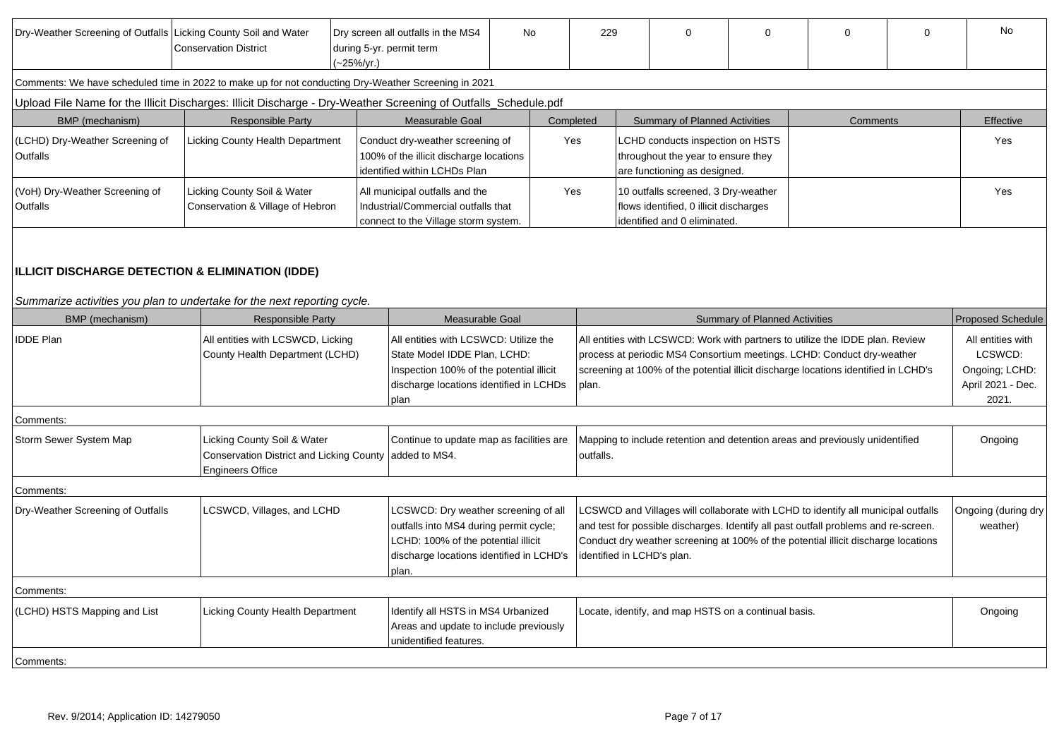| Dry-Weather Screening of Outfalls Licking County Soil and Water                                                              | <b>Conservation District</b>                                                                              | during 5-yr. permit term<br>(~25%/yr.) | Dry screen all outfalls in the MS4                                                                                                                                         | <b>No</b>                                                                                                                                                                                    | 229                                                                                                                                                                                                                                                     |  | $\Omega$                                                                                                      | $\Omega$                             | $\Omega$                                                                                                                                                                                                                                                       | $\Omega$ | <b>No</b>                       |
|------------------------------------------------------------------------------------------------------------------------------|-----------------------------------------------------------------------------------------------------------|----------------------------------------|----------------------------------------------------------------------------------------------------------------------------------------------------------------------------|----------------------------------------------------------------------------------------------------------------------------------------------------------------------------------------------|---------------------------------------------------------------------------------------------------------------------------------------------------------------------------------------------------------------------------------------------------------|--|---------------------------------------------------------------------------------------------------------------|--------------------------------------|----------------------------------------------------------------------------------------------------------------------------------------------------------------------------------------------------------------------------------------------------------------|----------|---------------------------------|
|                                                                                                                              | Comments: We have scheduled time in 2022 to make up for not conducting Dry-Weather Screening in 2021      |                                        |                                                                                                                                                                            |                                                                                                                                                                                              |                                                                                                                                                                                                                                                         |  |                                                                                                               |                                      |                                                                                                                                                                                                                                                                |          |                                 |
| Upload File Name for the Illicit Discharges: Illicit Discharge - Dry-Weather Screening of Outfalls_Schedule.pdf              |                                                                                                           |                                        |                                                                                                                                                                            |                                                                                                                                                                                              |                                                                                                                                                                                                                                                         |  |                                                                                                               |                                      |                                                                                                                                                                                                                                                                |          |                                 |
| BMP (mechanism)                                                                                                              | <b>Responsible Party</b>                                                                                  |                                        | Measurable Goal                                                                                                                                                            |                                                                                                                                                                                              | Completed                                                                                                                                                                                                                                               |  | <b>Summary of Planned Activities</b>                                                                          |                                      | <b>Comments</b>                                                                                                                                                                                                                                                |          | Effective                       |
| (LCHD) Dry-Weather Screening of<br><b>Outfalls</b>                                                                           | Licking County Health Department                                                                          |                                        | identified within LCHDs Plan                                                                                                                                               | LCHD conducts inspection on HSTS<br>Conduct dry-weather screening of<br>Yes<br>100% of the illicit discharge locations<br>throughout the year to ensure they<br>are functioning as designed. |                                                                                                                                                                                                                                                         |  |                                                                                                               | Yes                                  |                                                                                                                                                                                                                                                                |          |                                 |
| (VoH) Dry-Weather Screening of<br>Outfalls                                                                                   | Licking County Soil & Water<br>Conservation & Village of Hebron                                           |                                        | All municipal outfalls and the<br>Industrial/Commercial outfalls that<br>connect to the Village storm system.                                                              |                                                                                                                                                                                              | Yes                                                                                                                                                                                                                                                     |  | 10 outfalls screened, 3 Dry-weather<br>flows identified, 0 illicit discharges<br>identified and 0 eliminated. |                                      |                                                                                                                                                                                                                                                                |          | Yes                             |
| ILLICIT DISCHARGE DETECTION & ELIMINATION (IDDE)<br>Summarize activities you plan to undertake for the next reporting cycle. |                                                                                                           |                                        |                                                                                                                                                                            |                                                                                                                                                                                              |                                                                                                                                                                                                                                                         |  |                                                                                                               |                                      |                                                                                                                                                                                                                                                                |          |                                 |
| BMP (mechanism)                                                                                                              | <b>Responsible Party</b>                                                                                  |                                        | Measurable Goal                                                                                                                                                            |                                                                                                                                                                                              |                                                                                                                                                                                                                                                         |  |                                                                                                               | <b>Summary of Planned Activities</b> |                                                                                                                                                                                                                                                                |          | <b>Proposed Schedule</b>        |
| <b>IDDE Plan</b>                                                                                                             | All entities with LCSWCD, Licking<br>County Health Department (LCHD)                                      |                                        | All entities with LCSWCD: Utilize the<br>State Model IDDE Plan, LCHD:<br>Inspection 100% of the potential illicit<br>discharge locations identified in LCHDs<br>plan       |                                                                                                                                                                                              | All entities with LCSWCD: Work with partners to utilize the IDDE plan. Review<br>process at periodic MS4 Consortium meetings. LCHD: Conduct dry-weather<br>screening at 100% of the potential illicit discharge locations identified in LCHD's<br>plan. |  |                                                                                                               |                                      | All entities with<br>LCSWCD:<br>Ongoing; LCHD:<br>April 2021 - Dec.<br>2021.                                                                                                                                                                                   |          |                                 |
| Comments:                                                                                                                    |                                                                                                           |                                        |                                                                                                                                                                            |                                                                                                                                                                                              |                                                                                                                                                                                                                                                         |  |                                                                                                               |                                      |                                                                                                                                                                                                                                                                |          |                                 |
| Storm Sewer System Map                                                                                                       | Licking County Soil & Water<br><b>Conservation District and Licking County</b><br><b>Engineers Office</b> |                                        | Continue to update map as facilities are<br>added to MS4.                                                                                                                  |                                                                                                                                                                                              | outfalls.                                                                                                                                                                                                                                               |  |                                                                                                               |                                      | Mapping to include retention and detention areas and previously unidentified                                                                                                                                                                                   |          | Ongoing                         |
| Comments:                                                                                                                    |                                                                                                           |                                        |                                                                                                                                                                            |                                                                                                                                                                                              |                                                                                                                                                                                                                                                         |  |                                                                                                               |                                      |                                                                                                                                                                                                                                                                |          |                                 |
| Dry-Weather Screening of Outfalls                                                                                            | LCSWCD, Villages, and LCHD                                                                                |                                        | LCSWCD: Dry weather screening of all<br>outfalls into MS4 during permit cycle;<br>LCHD: 100% of the potential illicit<br>discharge locations identified in LCHD's<br>plan. |                                                                                                                                                                                              |                                                                                                                                                                                                                                                         |  | identified in LCHD's plan.                                                                                    |                                      | LCSWCD and Villages will collaborate with LCHD to identify all municipal outfalls<br>and test for possible discharges. Identify all past outfall problems and re-screen.<br>Conduct dry weather screening at 100% of the potential illicit discharge locations |          | Ongoing (during dry<br>weather) |
| Comments:                                                                                                                    |                                                                                                           |                                        |                                                                                                                                                                            |                                                                                                                                                                                              |                                                                                                                                                                                                                                                         |  |                                                                                                               |                                      |                                                                                                                                                                                                                                                                |          |                                 |
| (LCHD) HSTS Mapping and List                                                                                                 | Licking County Health Department                                                                          |                                        | Identify all HSTS in MS4 Urbanized<br>Areas and update to include previously<br>unidentified features.                                                                     |                                                                                                                                                                                              |                                                                                                                                                                                                                                                         |  | Locate, identify, and map HSTS on a continual basis.                                                          |                                      |                                                                                                                                                                                                                                                                |          | Ongoing                         |
| Comments:                                                                                                                    |                                                                                                           |                                        |                                                                                                                                                                            |                                                                                                                                                                                              |                                                                                                                                                                                                                                                         |  |                                                                                                               |                                      |                                                                                                                                                                                                                                                                |          |                                 |
|                                                                                                                              |                                                                                                           |                                        |                                                                                                                                                                            |                                                                                                                                                                                              |                                                                                                                                                                                                                                                         |  |                                                                                                               |                                      |                                                                                                                                                                                                                                                                |          |                                 |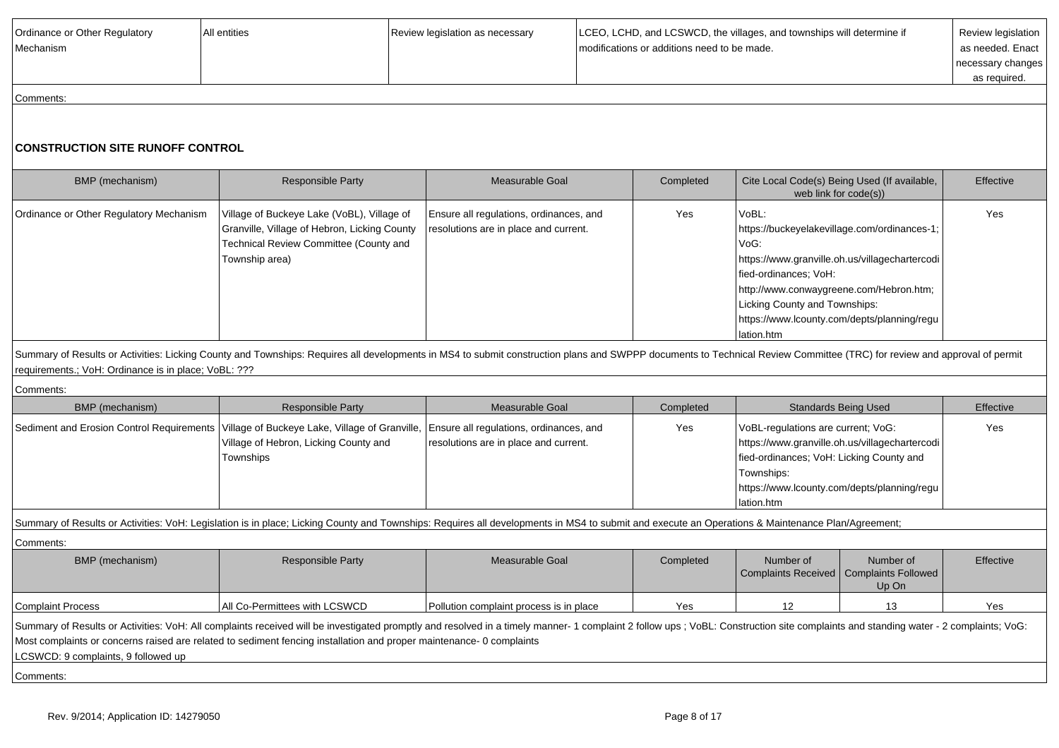| Ordinance or Other Regulatory<br><b>Mechanism</b> | All entities | Review legislation as necessary | LCEO, LCHD, and LCSWCD, the villages, and townships will determine if<br>modifications or additions need to be made. | Review legislation<br>as needed. Enact  <br>necessary changes |
|---------------------------------------------------|--------------|---------------------------------|----------------------------------------------------------------------------------------------------------------------|---------------------------------------------------------------|
|                                                   |              |                                 |                                                                                                                      | as required.                                                  |
| Comments:                                         |              |                                 |                                                                                                                      |                                                               |

## **CONSTRUCTION SITE RUNOFF CONTROL**

| BMP (mechanism)                         | <b>Responsible Party</b>                                                                                                                               | Measurable Goal                                                                  | Completed | Cite Local Code(s) Being Used (If available,<br>web link for code(s))                                                                                                                                                                                                                 | Effective |
|-----------------------------------------|--------------------------------------------------------------------------------------------------------------------------------------------------------|----------------------------------------------------------------------------------|-----------|---------------------------------------------------------------------------------------------------------------------------------------------------------------------------------------------------------------------------------------------------------------------------------------|-----------|
| Ordinance or Other Regulatory Mechanism | Village of Buckeye Lake (VoBL), Village of<br>Granville, Village of Hebron, Licking County<br>Technical Review Committee (County and<br>Township area) | Ensure all regulations, ordinances, and<br>resolutions are in place and current. | Yes       | VoBL:<br>https://buckeyelakevillage.com/ordinances-1;<br>VoG:<br>  https://www.granville.oh.us/villagechartercodi  <br>fied-ordinances; VoH:<br>http://www.conwaygreene.com/Hebron.htm;<br>Licking County and Townships:<br>https://www.lcounty.com/depts/planning/regu<br>Iation.htm | Yes       |

Summary of Results or Activities: Licking County and Townships: Requires all developments in MS4 to submit construction plans and SWPPP documents to Technical Review Committee (TRC) for review and approval of permit requirements.; VoH: Ordinance is in place; VoBL: ???

Comments:

| BMP (mechanism)                                                                                                                                                                                  | <b>Responsible Party</b>                                                                                                                                                                                                                                                                                                                              | Measurable Goal                         | Completed |                                                                                                                                                                                                             | <b>Standards Being Used</b>                      | Effective |  |  |  |
|--------------------------------------------------------------------------------------------------------------------------------------------------------------------------------------------------|-------------------------------------------------------------------------------------------------------------------------------------------------------------------------------------------------------------------------------------------------------------------------------------------------------------------------------------------------------|-----------------------------------------|-----------|-------------------------------------------------------------------------------------------------------------------------------------------------------------------------------------------------------------|--------------------------------------------------|-----------|--|--|--|
|                                                                                                                                                                                                  | Sediment and Erosion Control Requirements   Village of Buckeye Lake, Village of Granville,   Ensure all regulations, ordinances, and<br>Village of Hebron, Licking County and<br>Townships                                                                                                                                                            | resolutions are in place and current.   | Yes       | VoBL-regulations are current; VoG:<br>https://www.granville.oh.us/villagechartercodi<br>fied-ordinances; VoH: Licking County and<br>Townships:<br>https://www.lcounty.com/depts/planning/regu<br>lation.htm |                                                  | Yes       |  |  |  |
| Summary of Results or Activities: VoH: Legislation is in place; Licking County and Townships: Requires all developments in MS4 to submit and execute an Operations & Maintenance Plan/Agreement; |                                                                                                                                                                                                                                                                                                                                                       |                                         |           |                                                                                                                                                                                                             |                                                  |           |  |  |  |
| Comments:                                                                                                                                                                                        |                                                                                                                                                                                                                                                                                                                                                       |                                         |           |                                                                                                                                                                                                             |                                                  |           |  |  |  |
| BMP (mechanism)                                                                                                                                                                                  | <b>Responsible Party</b>                                                                                                                                                                                                                                                                                                                              | Measurable Goal                         | Completed | Number of<br>Complaints Received                                                                                                                                                                            | Number of<br><b>Complaints Followed</b><br>Up On | Effective |  |  |  |
| <b>Complaint Process</b>                                                                                                                                                                         | All Co-Permittees with LCSWCD                                                                                                                                                                                                                                                                                                                         | Pollution complaint process is in place | Yes       | 12                                                                                                                                                                                                          | 13                                               | Yes       |  |  |  |
| LCSWCD: 9 complaints, 9 followed up                                                                                                                                                              | Summary of Results or Activities: VoH: All complaints received will be investigated promptly and resolved in a timely manner- 1 complaint 2 follow ups; VoBL: Construction site complaints and standing water - 2 complaints;<br>Most complaints or concerns raised are related to sediment fencing installation and proper maintenance- 0 complaints |                                         |           |                                                                                                                                                                                                             |                                                  |           |  |  |  |
| Comments:                                                                                                                                                                                        |                                                                                                                                                                                                                                                                                                                                                       |                                         |           |                                                                                                                                                                                                             |                                                  |           |  |  |  |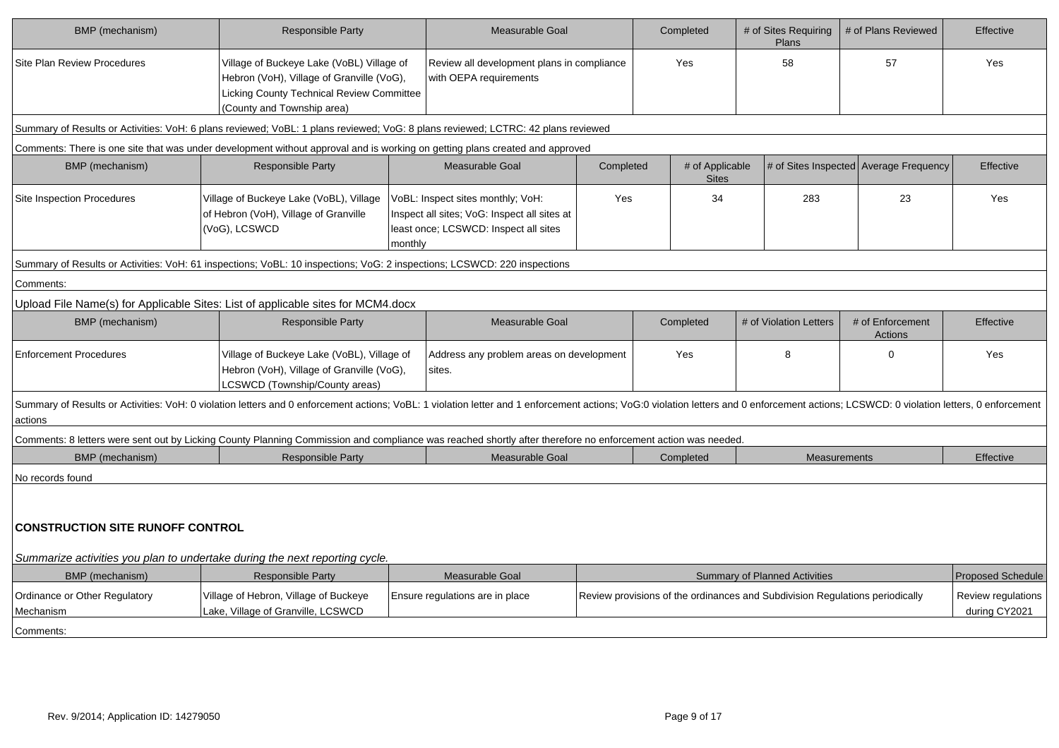| BMP (mechanism)                            | <b>Responsible Party</b>                                                                                                                                                                                                       |         | Measurable Goal                                                                                                            |           | Completed                       | # of Sites Requiring<br>Plans        | # of Plans Reviewed                                                          | Effective                           |
|--------------------------------------------|--------------------------------------------------------------------------------------------------------------------------------------------------------------------------------------------------------------------------------|---------|----------------------------------------------------------------------------------------------------------------------------|-----------|---------------------------------|--------------------------------------|------------------------------------------------------------------------------|-------------------------------------|
| <b>Site Plan Review Procedures</b>         | Village of Buckeye Lake (VoBL) Village of<br>Hebron (VoH), Village of Granville (VoG),<br>Licking County Technical Review Committee<br>(County and Township area)                                                              |         | Review all development plans in compliance<br>with OEPA requirements                                                       |           | Yes                             | 58                                   | 57                                                                           | Yes                                 |
|                                            | Summary of Results or Activities: VoH: 6 plans reviewed; VoBL: 1 plans reviewed; VoG: 8 plans reviewed; LCTRC: 42 plans reviewed                                                                                               |         |                                                                                                                            |           |                                 |                                      |                                                                              |                                     |
|                                            | Comments: There is one site that was under development without approval and is working on getting plans created and approved                                                                                                   |         |                                                                                                                            |           |                                 |                                      |                                                                              |                                     |
| BMP (mechanism)                            | <b>Responsible Party</b>                                                                                                                                                                                                       |         | <b>Measurable Goal</b>                                                                                                     | Completed | # of Applicable<br><b>Sites</b> |                                      | # of Sites Inspected Average Frequency                                       | Effective                           |
| <b>Site Inspection Procedures</b>          | Village of Buckeye Lake (VoBL), Village<br>of Hebron (VoH), Village of Granville<br>(VoG), LCSWCD                                                                                                                              | monthly | VoBL: Inspect sites monthly; VoH:<br>Inspect all sites; VoG: Inspect all sites at<br>least once; LCSWCD: Inspect all sites | Yes       | 34                              | 283                                  | 23                                                                           | Yes                                 |
|                                            | Summary of Results or Activities: VoH: 61 inspections; VoBL: 10 inspections; VoG: 2 inspections; LCSWCD: 220 inspections                                                                                                       |         |                                                                                                                            |           |                                 |                                      |                                                                              |                                     |
| Comments:                                  |                                                                                                                                                                                                                                |         |                                                                                                                            |           |                                 |                                      |                                                                              |                                     |
|                                            | Upload File Name(s) for Applicable Sites: List of applicable sites for MCM4.docx                                                                                                                                               |         |                                                                                                                            |           |                                 |                                      |                                                                              |                                     |
| BMP (mechanism)                            | Responsible Party                                                                                                                                                                                                              |         | Measurable Goal                                                                                                            |           | Completed                       | # of Violation Letters               | # of Enforcement<br>Actions                                                  | Effective                           |
| <b>Enforcement Procedures</b>              | Village of Buckeye Lake (VoBL), Village of<br>Hebron (VoH), Village of Granville (VoG),<br>LCSWCD (Township/County areas)                                                                                                      |         | Address any problem areas on development<br>sites.                                                                         |           | Yes                             | 8                                    | $\Omega$                                                                     | Yes                                 |
| actions                                    | Summary of Results or Activities: VoH: 0 violation letters and 0 enforcement actions; VoBL: 1 violation letter and 1 enforcement actions; VoBL: 0 violation letters, 0 enforcement actions; VoBL: 1 violation letter and 1 enf |         |                                                                                                                            |           |                                 |                                      |                                                                              |                                     |
|                                            | Comments: 8 letters were sent out by Licking County Planning Commission and compliance was reached shortly after therefore no enforcement action was needed                                                                    |         |                                                                                                                            |           |                                 |                                      |                                                                              |                                     |
| <b>BMP</b> (mechanism)                     | <b>Responsible Party</b>                                                                                                                                                                                                       |         | Measurable Goal                                                                                                            |           | Completed                       | <b>Measurements</b>                  |                                                                              | Effective                           |
| No records found                           |                                                                                                                                                                                                                                |         |                                                                                                                            |           |                                 |                                      |                                                                              |                                     |
| <b>CONSTRUCTION SITE RUNOFF CONTROL</b>    | Summarize activities you plan to undertake during the next reporting cycle.                                                                                                                                                    |         |                                                                                                                            |           |                                 |                                      |                                                                              |                                     |
| BMP (mechanism)                            | <b>Responsible Party</b>                                                                                                                                                                                                       |         | Measurable Goal                                                                                                            |           |                                 | <b>Summary of Planned Activities</b> |                                                                              | <b>Proposed Schedule</b>            |
| Ordinance or Other Regulatory<br>Mechanism | Village of Hebron, Village of Buckeye<br>Lake, Village of Granville, LCSWCD                                                                                                                                                    |         | Ensure regulations are in place                                                                                            |           |                                 |                                      | Review provisions of the ordinances and Subdivision Regulations periodically | Review regulations<br>during CY2021 |
| Comments:                                  |                                                                                                                                                                                                                                |         |                                                                                                                            |           |                                 |                                      |                                                                              |                                     |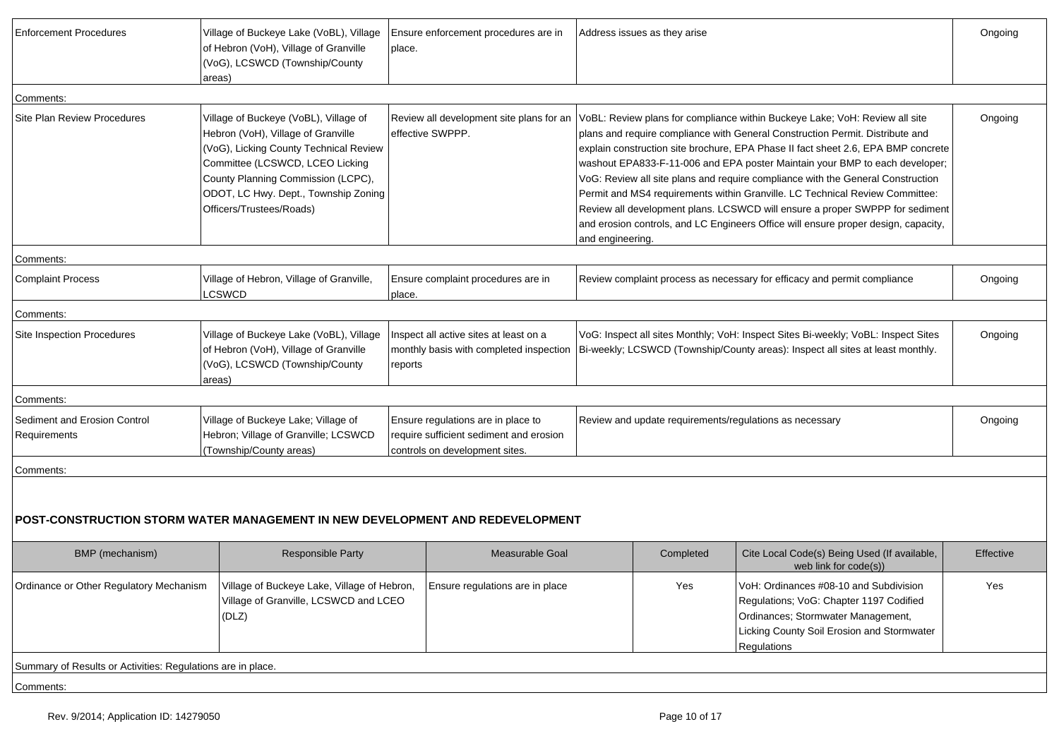| Enforcement Procedures                                      | Village of Buckeye Lake (VoBL), Village<br>of Hebron (VoH), Village of Granville<br>(VoG), LCSWCD (Township/County<br>areas)                                                                                                                                       | Ensure enforcement procedures are in<br>place.                                                                  |                  | Address issues as they arise |                                                                                                                                                                                                                                                                                                                                                                                                                                                                                                                                                                                                                                                                                                                            | Ongoing   |
|-------------------------------------------------------------|--------------------------------------------------------------------------------------------------------------------------------------------------------------------------------------------------------------------------------------------------------------------|-----------------------------------------------------------------------------------------------------------------|------------------|------------------------------|----------------------------------------------------------------------------------------------------------------------------------------------------------------------------------------------------------------------------------------------------------------------------------------------------------------------------------------------------------------------------------------------------------------------------------------------------------------------------------------------------------------------------------------------------------------------------------------------------------------------------------------------------------------------------------------------------------------------------|-----------|
| Comments:                                                   |                                                                                                                                                                                                                                                                    |                                                                                                                 |                  |                              |                                                                                                                                                                                                                                                                                                                                                                                                                                                                                                                                                                                                                                                                                                                            |           |
| <b>Site Plan Review Procedures</b>                          | Village of Buckeye (VoBL), Village of<br>Hebron (VoH), Village of Granville<br>(VoG), Licking County Technical Review<br>Committee (LCSWCD, LCEO Licking<br>County Planning Commission (LCPC),<br>ODOT, LC Hwy. Dept., Township Zoning<br>Officers/Trustees/Roads) | effective SWPPP.                                                                                                | and engineering. |                              | Review all development site plans for an <i>VoBL</i> : Review plans for compliance within Buckeye Lake; VoH: Review all site<br>plans and require compliance with General Construction Permit. Distribute and<br>explain construction site brochure, EPA Phase II fact sheet 2.6, EPA BMP concrete<br>washout EPA833-F-11-006 and EPA poster Maintain your BMP to each developer;<br>VoG: Review all site plans and require compliance with the General Construction<br>Permit and MS4 requirements within Granville. LC Technical Review Committee:<br>Review all development plans. LCSWCD will ensure a proper SWPPP for sediment<br>and erosion controls, and LC Engineers Office will ensure proper design, capacity, | Ongoing   |
| Comments:                                                   |                                                                                                                                                                                                                                                                    |                                                                                                                 |                  |                              |                                                                                                                                                                                                                                                                                                                                                                                                                                                                                                                                                                                                                                                                                                                            |           |
| <b>Complaint Process</b>                                    | Village of Hebron, Village of Granville,<br>LCSWCD                                                                                                                                                                                                                 | Ensure complaint procedures are in<br>place.                                                                    |                  |                              | Review complaint process as necessary for efficacy and permit compliance                                                                                                                                                                                                                                                                                                                                                                                                                                                                                                                                                                                                                                                   | Ongoing   |
| Comments:                                                   |                                                                                                                                                                                                                                                                    |                                                                                                                 |                  |                              |                                                                                                                                                                                                                                                                                                                                                                                                                                                                                                                                                                                                                                                                                                                            |           |
| Site Inspection Procedures                                  | Village of Buckeye Lake (VoBL), Village<br>of Hebron (VoH), Village of Granville<br>(VoG), LCSWCD (Township/County<br>areas)                                                                                                                                       | Inspect all active sites at least on a<br>monthly basis with completed inspection<br>reports                    |                  |                              | VoG: Inspect all sites Monthly; VoH: Inspect Sites Bi-weekly; VoBL: Inspect Sites<br>Bi-weekly; LCSWCD (Township/County areas): Inspect all sites at least monthly.                                                                                                                                                                                                                                                                                                                                                                                                                                                                                                                                                        | Ongoing   |
| Comments:                                                   |                                                                                                                                                                                                                                                                    |                                                                                                                 |                  |                              |                                                                                                                                                                                                                                                                                                                                                                                                                                                                                                                                                                                                                                                                                                                            |           |
| Sediment and Erosion Control<br>Requirements                | Village of Buckeye Lake; Village of<br>Hebron; Village of Granville; LCSWCD<br>(Township/County areas)                                                                                                                                                             | Ensure regulations are in place to<br>require sufficient sediment and erosion<br>controls on development sites. |                  |                              | Review and update requirements/regulations as necessary                                                                                                                                                                                                                                                                                                                                                                                                                                                                                                                                                                                                                                                                    | Ongoing   |
| Comments:                                                   |                                                                                                                                                                                                                                                                    |                                                                                                                 |                  |                              |                                                                                                                                                                                                                                                                                                                                                                                                                                                                                                                                                                                                                                                                                                                            |           |
|                                                             | POST-CONSTRUCTION STORM WATER MANAGEMENT IN NEW DEVELOPMENT AND REDEVELOPMENT                                                                                                                                                                                      |                                                                                                                 |                  |                              |                                                                                                                                                                                                                                                                                                                                                                                                                                                                                                                                                                                                                                                                                                                            |           |
| BMP (mechanism)                                             | Responsible Party                                                                                                                                                                                                                                                  | <b>Measurable Goal</b>                                                                                          |                  | Completed                    | Cite Local Code(s) Being Used (If available,<br>web link for code(s))                                                                                                                                                                                                                                                                                                                                                                                                                                                                                                                                                                                                                                                      | Effective |
| Ordinance or Other Regulatory Mechanism                     | Village of Buckeye Lake, Village of Hebron,<br>Village of Granville, LCSWCD and LCEO<br>(DLZ)                                                                                                                                                                      | ∣ Ensure regulations are in place                                                                               |                  | Yes                          | VoH: Ordinances #08-10 and Subdivision<br>Regulations; VoG: Chapter 1197 Codified<br>Ordinances; Stormwater Management,<br>Licking County Soil Erosion and Stormwater<br>Regulations                                                                                                                                                                                                                                                                                                                                                                                                                                                                                                                                       | Yes       |
| Summary of Results or Activities: Regulations are in place. |                                                                                                                                                                                                                                                                    |                                                                                                                 |                  |                              |                                                                                                                                                                                                                                                                                                                                                                                                                                                                                                                                                                                                                                                                                                                            |           |
| Comments:                                                   |                                                                                                                                                                                                                                                                    |                                                                                                                 |                  |                              |                                                                                                                                                                                                                                                                                                                                                                                                                                                                                                                                                                                                                                                                                                                            |           |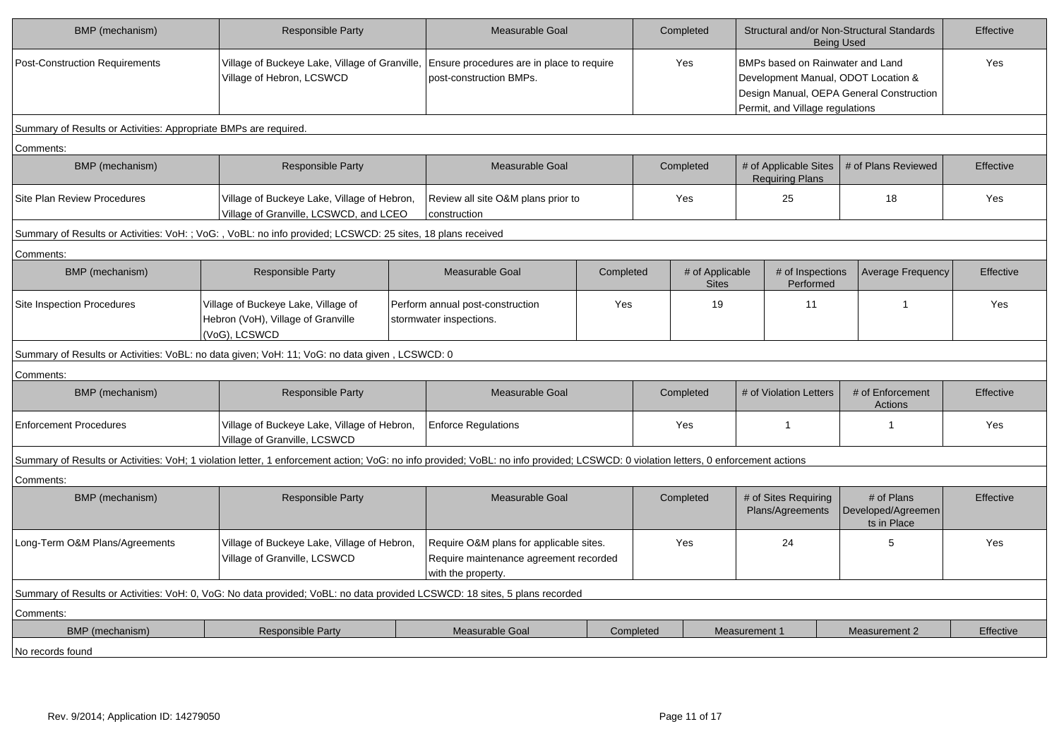| BMP (mechanism)                                                  | <b>Responsible Party</b>                                                                                                                                                           | <b>Measurable Goal</b>                                                                                              |           | Completed                                                                                                         |                                 |                                                 | Structural and/or Non-Structural Standards<br><b>Being Used</b> | Effective |
|------------------------------------------------------------------|------------------------------------------------------------------------------------------------------------------------------------------------------------------------------------|---------------------------------------------------------------------------------------------------------------------|-----------|-------------------------------------------------------------------------------------------------------------------|---------------------------------|-------------------------------------------------|-----------------------------------------------------------------|-----------|
| <b>Post-Construction Requirements</b>                            | Village of Hebron, LCSWCD                                                                                                                                                          | Village of Buckeye Lake, Village of Granville, Ensure procedures are in place to require<br>post-construction BMPs. |           | Yes<br>BMPs based on Rainwater and Land<br>Development Manual, ODOT Location &<br>Permit, and Village regulations |                                 | Design Manual, OEPA General Construction        | Yes                                                             |           |
| Summary of Results or Activities: Appropriate BMPs are required. |                                                                                                                                                                                    |                                                                                                                     |           |                                                                                                                   |                                 |                                                 |                                                                 |           |
| Comments:                                                        |                                                                                                                                                                                    |                                                                                                                     |           |                                                                                                                   |                                 |                                                 |                                                                 |           |
| BMP (mechanism)                                                  | Responsible Party                                                                                                                                                                  | Measurable Goal                                                                                                     |           |                                                                                                                   | Completed                       | # of Applicable Sites<br><b>Requiring Plans</b> | # of Plans Reviewed                                             | Effective |
| <b>Site Plan Review Procedures</b>                               | Village of Buckeye Lake, Village of Hebron,<br>Village of Granville, LCSWCD, and LCEO                                                                                              | Review all site O&M plans prior to<br>construction                                                                  |           |                                                                                                                   | Yes                             | 25                                              | 18                                                              | Yes       |
|                                                                  | Summary of Results or Activities: VoH: ; VoG: , VoBL: no info provided; LCSWCD: 25 sites, 18 plans received                                                                        |                                                                                                                     |           |                                                                                                                   |                                 |                                                 |                                                                 |           |
| Comments:                                                        |                                                                                                                                                                                    |                                                                                                                     |           |                                                                                                                   |                                 |                                                 |                                                                 |           |
| BMP (mechanism)                                                  | Responsible Party                                                                                                                                                                  | Measurable Goal                                                                                                     | Completed |                                                                                                                   | # of Applicable<br><b>Sites</b> | # of Inspections<br>Performed                   | <b>Average Frequency</b>                                        | Effective |
| Site Inspection Procedures                                       | Village of Buckeye Lake, Village of<br>Hebron (VoH), Village of Granville<br>(VoG), LCSWCD                                                                                         | Perform annual post-construction<br>Yes<br>stormwater inspections.                                                  |           | 19                                                                                                                |                                 | 11                                              |                                                                 | Yes       |
|                                                                  | Summary of Results or Activities: VoBL: no data given; VoH: 11; VoG: no data given, LCSWCD: 0                                                                                      |                                                                                                                     |           |                                                                                                                   |                                 |                                                 |                                                                 |           |
| Comments:                                                        |                                                                                                                                                                                    |                                                                                                                     |           |                                                                                                                   |                                 |                                                 |                                                                 |           |
| BMP (mechanism)                                                  | Responsible Party                                                                                                                                                                  | Measurable Goal                                                                                                     |           |                                                                                                                   | Completed                       | # of Violation Letters                          | # of Enforcement<br><b>Actions</b>                              | Effective |
| <b>Enforcement Procedures</b>                                    | Village of Buckeye Lake, Village of Hebron,<br>Village of Granville, LCSWCD                                                                                                        | <b>Enforce Regulations</b>                                                                                          |           |                                                                                                                   | Yes                             | $\mathbf{1}$                                    | -1                                                              | Yes       |
|                                                                  | Summary of Results or Activities: VoH; 1 violation letter, 1 enforcement action; VoG: no info provided; VoBL: no info provided; LCSWCD: 0 violation letters, 0 enforcement actions |                                                                                                                     |           |                                                                                                                   |                                 |                                                 |                                                                 |           |
| Comments:                                                        |                                                                                                                                                                                    |                                                                                                                     |           |                                                                                                                   |                                 |                                                 |                                                                 |           |
| BMP (mechanism)                                                  | Responsible Party                                                                                                                                                                  | Measurable Goal                                                                                                     |           |                                                                                                                   | Completed                       | # of Sites Requiring<br>Plans/Agreements        | # of Plans<br>Developed/Agreemen<br>ts in Place                 | Effective |
| Long-Term O&M Plans/Agreements                                   | Village of Buckeye Lake, Village of Hebron,<br>Village of Granville, LCSWCD                                                                                                        | Require O&M plans for applicable sites.<br>Require maintenance agreement recorded<br>with the property.             |           |                                                                                                                   | Yes                             | 24                                              | 5                                                               | Yes       |
|                                                                  | Summary of Results or Activities: VoH: 0, VoG: No data provided; VoBL: no data provided LCSWCD: 18 sites, 5 plans recorded                                                         |                                                                                                                     |           |                                                                                                                   |                                 |                                                 |                                                                 |           |
| Comments:                                                        |                                                                                                                                                                                    |                                                                                                                     |           |                                                                                                                   |                                 |                                                 |                                                                 |           |
| BMP (mechanism)                                                  | <b>Responsible Party</b>                                                                                                                                                           | Measurable Goal                                                                                                     |           | Completed                                                                                                         |                                 | <b>Measurement 1</b>                            | <b>Measurement 2</b>                                            | Effective |
| No records found                                                 |                                                                                                                                                                                    |                                                                                                                     |           |                                                                                                                   |                                 |                                                 |                                                                 |           |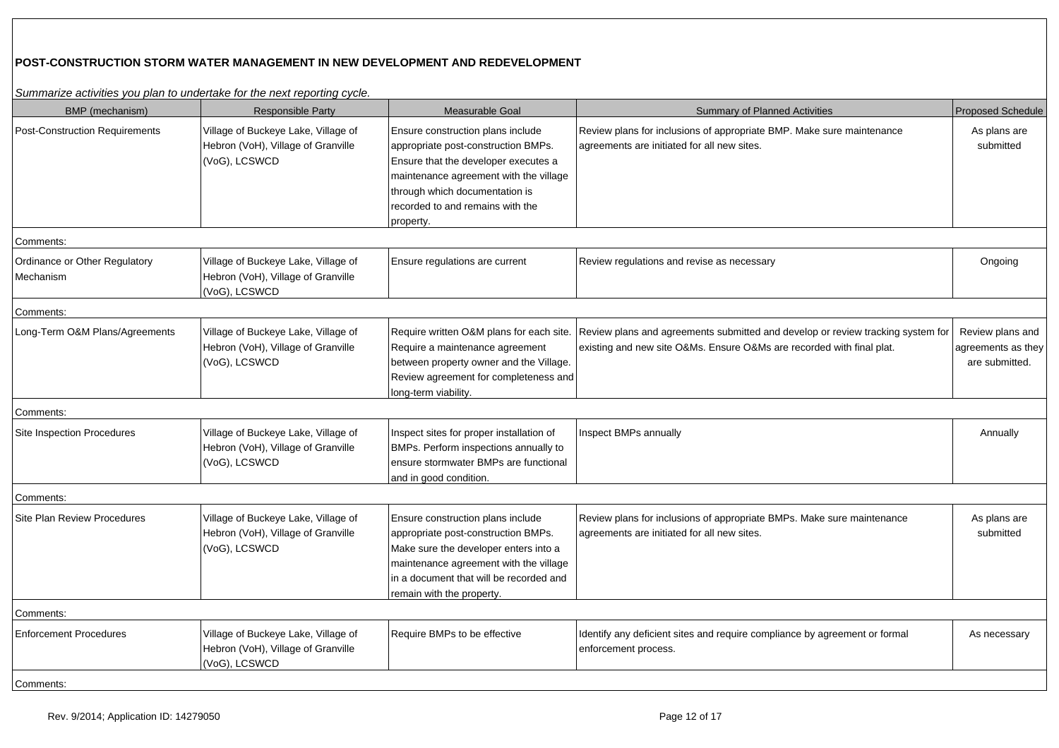# **POST-CONSTRUCTION STORM WATER MANAGEMENT IN NEW DEVELOPMENT AND REDEVELOPMENT**

| BMP (mechanism)                            | <b>Responsible Party</b>                                                                   | Measurable Goal                                                                                                                                                                                                                               | <b>Summary of Planned Activities</b>                                                                                                                                                              | <b>Proposed Schedule</b>                                 |
|--------------------------------------------|--------------------------------------------------------------------------------------------|-----------------------------------------------------------------------------------------------------------------------------------------------------------------------------------------------------------------------------------------------|---------------------------------------------------------------------------------------------------------------------------------------------------------------------------------------------------|----------------------------------------------------------|
| <b>Post-Construction Requirements</b>      | Village of Buckeye Lake, Village of<br>Hebron (VoH), Village of Granville<br>(VoG), LCSWCD | Ensure construction plans include<br>appropriate post-construction BMPs.<br>Ensure that the developer executes a<br>maintenance agreement with the village<br>through which documentation is<br>recorded to and remains with the<br>property. | Review plans for inclusions of appropriate BMP. Make sure maintenance<br>agreements are initiated for all new sites.                                                                              | As plans are<br>submitted                                |
| Comments:                                  |                                                                                            |                                                                                                                                                                                                                                               |                                                                                                                                                                                                   |                                                          |
| Ordinance or Other Regulatory<br>Mechanism | Village of Buckeye Lake, Village of<br>Hebron (VoH), Village of Granville<br>(VoG), LCSWCD | Ensure regulations are current                                                                                                                                                                                                                | Review regulations and revise as necessary                                                                                                                                                        | Ongoing                                                  |
| Comments:                                  |                                                                                            |                                                                                                                                                                                                                                               |                                                                                                                                                                                                   |                                                          |
| Long-Term O&M Plans/Agreements             | Village of Buckeye Lake, Village of<br>Hebron (VoH), Village of Granville<br>(VoG), LCSWCD | Require a maintenance agreement<br>between property owner and the Village.<br>Review agreement for completeness and<br>long-term viability.                                                                                                   | Require written O&M plans for each site. Review plans and agreements submitted and develop or review tracking system for<br>existing and new site O&Ms. Ensure O&Ms are recorded with final plat. | Review plans and<br>agreements as they<br>are submitted. |
| Comments:                                  |                                                                                            |                                                                                                                                                                                                                                               |                                                                                                                                                                                                   |                                                          |
| Site Inspection Procedures                 | Village of Buckeye Lake, Village of<br>Hebron (VoH), Village of Granville<br>(VoG), LCSWCD | Inspect sites for proper installation of<br>BMPs. Perform inspections annually to<br>ensure stormwater BMPs are functional<br>and in good condition.                                                                                          | Inspect BMPs annually                                                                                                                                                                             | Annually                                                 |
| Comments:                                  |                                                                                            |                                                                                                                                                                                                                                               |                                                                                                                                                                                                   |                                                          |
| <b>Site Plan Review Procedures</b>         | Village of Buckeye Lake, Village of<br>Hebron (VoH), Village of Granville<br>(VoG), LCSWCD | Ensure construction plans include<br>appropriate post-construction BMPs.<br>Make sure the developer enters into a<br>maintenance agreement with the village<br>in a document that will be recorded and<br>remain with the property.           | Review plans for inclusions of appropriate BMPs. Make sure maintenance<br>agreements are initiated for all new sites.                                                                             | As plans are<br>submitted                                |
| Comments:                                  |                                                                                            |                                                                                                                                                                                                                                               |                                                                                                                                                                                                   |                                                          |
| <b>Enforcement Procedures</b>              | Village of Buckeye Lake, Village of<br>Hebron (VoH), Village of Granville<br>(VoG), LCSWCD | Require BMPs to be effective                                                                                                                                                                                                                  | Identify any deficient sites and require compliance by agreement or formal<br>enforcement process.                                                                                                | As necessary                                             |
| Comments:                                  |                                                                                            |                                                                                                                                                                                                                                               |                                                                                                                                                                                                   |                                                          |

Summarize activities you plan to undertake for the next reporting cycle.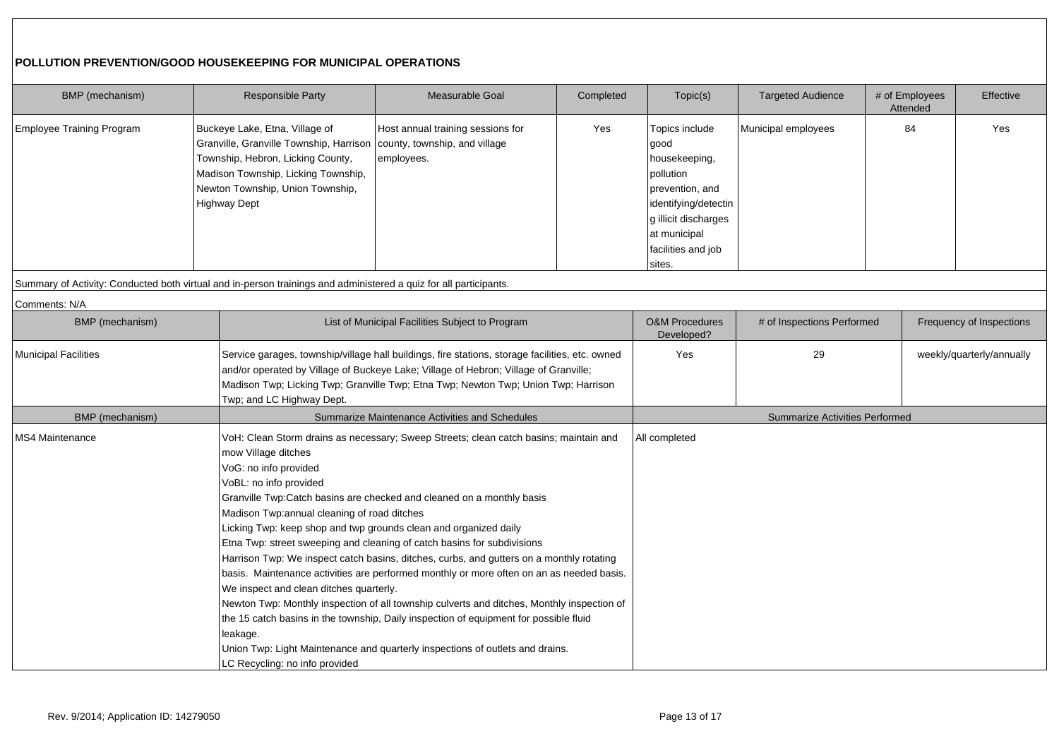## **POLLUTION PREVENTION/GOOD HOUSEKEEPING FOR MUNICIPAL OPERATIONS**

| BMP (mechanism)           | Responsible Party                                                                                                                                                                                                                                                                  | <b>Measurable Goal</b>                                                                                                                                                                                                                                                                                                                                                                                                                                                                                                                                                                                                                                                                                    | Completed | Topic(s)                                                                                                                                                                | <b>Targeted Audience</b>              | # of Employees<br>Attended | Effective                 |
|---------------------------|------------------------------------------------------------------------------------------------------------------------------------------------------------------------------------------------------------------------------------------------------------------------------------|-----------------------------------------------------------------------------------------------------------------------------------------------------------------------------------------------------------------------------------------------------------------------------------------------------------------------------------------------------------------------------------------------------------------------------------------------------------------------------------------------------------------------------------------------------------------------------------------------------------------------------------------------------------------------------------------------------------|-----------|-------------------------------------------------------------------------------------------------------------------------------------------------------------------------|---------------------------------------|----------------------------|---------------------------|
| Employee Training Program | Buckeye Lake, Etna, Village of<br>Granville, Granville Township, Harrison<br>Township, Hebron, Licking County,<br>Madison Township, Licking Township,<br>Newton Township, Union Township,<br><b>Highway Dept</b>                                                                   | Host annual training sessions for<br>county, township, and village<br>employees.                                                                                                                                                                                                                                                                                                                                                                                                                                                                                                                                                                                                                          | Yes       | Topics include<br>good<br>housekeeping,<br>pollution<br>prevention, and<br>identifying/detectin<br>g illicit discharges<br>at municipal<br>facilities and job<br>sites. | Municipal employees                   | 84                         | Yes                       |
|                           | Summary of Activity: Conducted both virtual and in-person trainings and administered a quiz for all participants.                                                                                                                                                                  |                                                                                                                                                                                                                                                                                                                                                                                                                                                                                                                                                                                                                                                                                                           |           |                                                                                                                                                                         |                                       |                            |                           |
| Comments: N/A             |                                                                                                                                                                                                                                                                                    |                                                                                                                                                                                                                                                                                                                                                                                                                                                                                                                                                                                                                                                                                                           |           |                                                                                                                                                                         |                                       |                            |                           |
| <b>BMP</b> (mechanism)    |                                                                                                                                                                                                                                                                                    | List of Municipal Facilities Subject to Program                                                                                                                                                                                                                                                                                                                                                                                                                                                                                                                                                                                                                                                           |           | <b>O&amp;M Procedures</b><br>Developed?                                                                                                                                 | # of Inspections Performed            |                            | Frequency of Inspections  |
| Municipal Facilities      | Twp; and LC Highway Dept.                                                                                                                                                                                                                                                          | Service garages, township/village hall buildings, fire stations, storage facilities, etc. owned<br>and/or operated by Village of Buckeye Lake; Village of Hebron; Village of Granville;<br>Madison Twp; Licking Twp; Granville Twp; Etna Twp; Newton Twp; Union Twp; Harrison                                                                                                                                                                                                                                                                                                                                                                                                                             |           |                                                                                                                                                                         | 29                                    |                            | weekly/quarterly/annually |
| BMP (mechanism)           |                                                                                                                                                                                                                                                                                    | Summarize Maintenance Activities and Schedules                                                                                                                                                                                                                                                                                                                                                                                                                                                                                                                                                                                                                                                            |           |                                                                                                                                                                         | <b>Summarize Activities Performed</b> |                            |                           |
| <b>MS4 Maintenance</b>    | mow Village ditches<br>VoG: no info provided<br>VoBL: no info provided<br>Madison Twp:annual cleaning of road ditches<br>Licking Twp: keep shop and twp grounds clean and organized daily<br>We inspect and clean ditches quarterly.<br>leakage.<br>LC Recycling: no info provided | VoH: Clean Storm drains as necessary; Sweep Streets; clean catch basins; maintain and<br>Granville Twp:Catch basins are checked and cleaned on a monthly basis<br>Etna Twp: street sweeping and cleaning of catch basins for subdivisions<br>Harrison Twp: We inspect catch basins, ditches, curbs, and gutters on a monthly rotating<br>basis. Maintenance activities are performed monthly or more often on an as needed basis.<br>Newton Twp: Monthly inspection of all township culverts and ditches, Monthly inspection of<br>the 15 catch basins in the township, Daily inspection of equipment for possible fluid<br>Union Twp: Light Maintenance and quarterly inspections of outlets and drains. |           | All completed                                                                                                                                                           |                                       |                            |                           |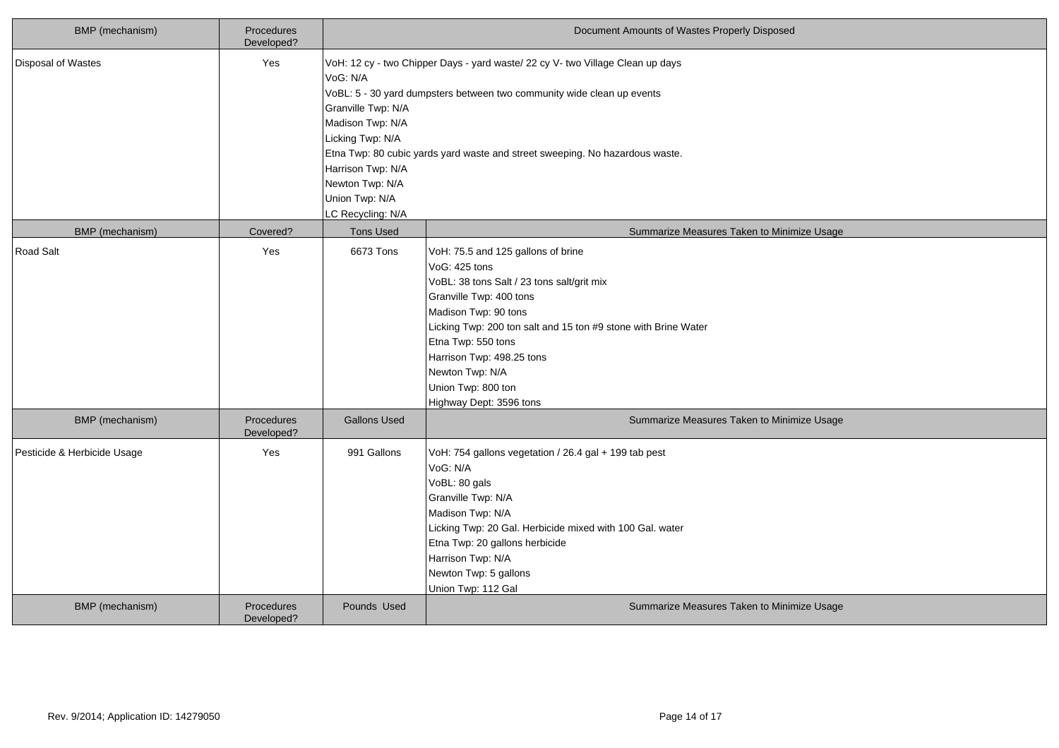| BMP (mechanism)             | Procedures<br>Developed? |                                                                                                                                                       | Document Amounts of Wastes Properly Disposed                                                                                                                                                                                                                                                                                                  |
|-----------------------------|--------------------------|-------------------------------------------------------------------------------------------------------------------------------------------------------|-----------------------------------------------------------------------------------------------------------------------------------------------------------------------------------------------------------------------------------------------------------------------------------------------------------------------------------------------|
| Disposal of Wastes          | Yes                      | VoG: N/A<br>Granville Twp: N/A<br>Madison Twp: N/A<br>Licking Twp: N/A<br>Harrison Twp: N/A<br>Newton Twp: N/A<br>Union Twp: N/A<br>LC Recycling: N/A | VoH: 12 cy - two Chipper Days - yard waste/ 22 cy V- two Village Clean up days<br>VoBL: 5 - 30 yard dumpsters between two community wide clean up events<br>Etna Twp: 80 cubic yards yard waste and street sweeping. No hazardous waste.                                                                                                      |
| BMP (mechanism)             | Covered?                 | <b>Tons Used</b>                                                                                                                                      | Summarize Measures Taken to Minimize Usage                                                                                                                                                                                                                                                                                                    |
| Road Salt                   | Yes                      | 6673 Tons                                                                                                                                             | VoH: 75.5 and 125 gallons of brine<br>VoG: 425 tons<br>VoBL: 38 tons Salt / 23 tons salt/grit mix<br>Granville Twp: 400 tons<br>Madison Twp: 90 tons<br>Licking Twp: 200 ton salt and 15 ton #9 stone with Brine Water<br>Etna Twp: 550 tons<br>Harrison Twp: 498.25 tons<br>Newton Twp: N/A<br>Union Twp: 800 ton<br>Highway Dept: 3596 tons |
| <b>BMP</b> (mechanism)      | Procedures<br>Developed? | <b>Gallons Used</b>                                                                                                                                   | Summarize Measures Taken to Minimize Usage                                                                                                                                                                                                                                                                                                    |
| Pesticide & Herbicide Usage | Yes                      | 991 Gallons                                                                                                                                           | VoH: 754 gallons vegetation / 26.4 gal + 199 tab pest<br>VoG: N/A<br>VoBL: 80 gals<br>Granville Twp: N/A<br>Madison Twp: N/A<br>Licking Twp: 20 Gal. Herbicide mixed with 100 Gal. water<br>Etna Twp: 20 gallons herbicide<br>Harrison Twp: N/A<br>Newton Twp: 5 gallons<br>Union Twp: 112 Gal                                                |
| <b>BMP</b> (mechanism)      | Procedures<br>Developed? | Pounds Used                                                                                                                                           | Summarize Measures Taken to Minimize Usage                                                                                                                                                                                                                                                                                                    |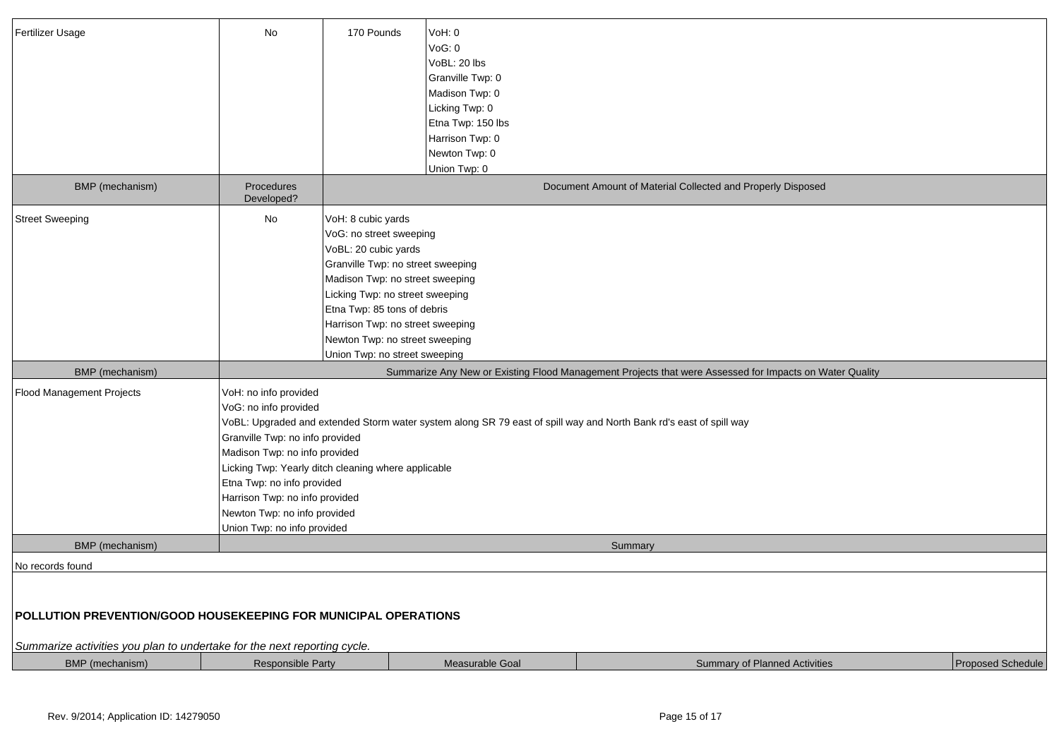| Fertilizer Usage                                                                                                                                                                   | No                                                                                                                                                                                                                                                | 170 Pounds                                                                                                                                                                                                                                                                                                             | VoH: 0<br>VoG: 0<br>VoBL: 20 lbs<br>Granville Twp: 0<br>Madison Twp: 0<br>Licking Twp: 0<br>Etna Twp: 150 lbs<br>Harrison Twp: 0<br>Newton Twp: 0<br>Union Twp: 0 |                                                                                                                    |                   |
|------------------------------------------------------------------------------------------------------------------------------------------------------------------------------------|---------------------------------------------------------------------------------------------------------------------------------------------------------------------------------------------------------------------------------------------------|------------------------------------------------------------------------------------------------------------------------------------------------------------------------------------------------------------------------------------------------------------------------------------------------------------------------|-------------------------------------------------------------------------------------------------------------------------------------------------------------------|--------------------------------------------------------------------------------------------------------------------|-------------------|
| BMP (mechanism)                                                                                                                                                                    | Procedures<br>Developed?                                                                                                                                                                                                                          |                                                                                                                                                                                                                                                                                                                        |                                                                                                                                                                   | Document Amount of Material Collected and Properly Disposed                                                        |                   |
| <b>Street Sweeping</b>                                                                                                                                                             | No                                                                                                                                                                                                                                                | VoH: 8 cubic yards<br>VoG: no street sweeping<br>VoBL: 20 cubic yards<br>Granville Twp: no street sweeping<br>Madison Twp: no street sweeping<br>Licking Twp: no street sweeping<br>Etna Twp: 85 tons of debris<br>Harrison Twp: no street sweeping<br>Newton Twp: no street sweeping<br>Union Twp: no street sweeping |                                                                                                                                                                   |                                                                                                                    |                   |
| BMP (mechanism)                                                                                                                                                                    |                                                                                                                                                                                                                                                   |                                                                                                                                                                                                                                                                                                                        |                                                                                                                                                                   | Summarize Any New or Existing Flood Management Projects that were Assessed for Impacts on Water Quality            |                   |
| Flood Management Projects                                                                                                                                                          | VoH: no info provided<br>VoG: no info provided<br>Granville Twp: no info provided<br>Madison Twp: no info provided<br>Etna Twp: no info provided<br>Harrison Twp: no info provided<br>Newton Twp: no info provided<br>Union Twp: no info provided | Licking Twp: Yearly ditch cleaning where applicable                                                                                                                                                                                                                                                                    |                                                                                                                                                                   | VoBL: Upgraded and extended Storm water system along SR 79 east of spill way and North Bank rd's east of spill way |                   |
| <b>BMP</b> (mechanism)                                                                                                                                                             |                                                                                                                                                                                                                                                   |                                                                                                                                                                                                                                                                                                                        |                                                                                                                                                                   | Summary                                                                                                            |                   |
| No records found<br>POLLUTION PREVENTION/GOOD HOUSEKEEPING FOR MUNICIPAL OPERATIONS<br>Summarize activities you plan to undertake for the next reporting cycle.<br>BMP (mechanism) | <b>Responsible Party</b>                                                                                                                                                                                                                          |                                                                                                                                                                                                                                                                                                                        | Measurable Goal                                                                                                                                                   | <b>Summary of Planned Activities</b>                                                                               | Proposed Schedule |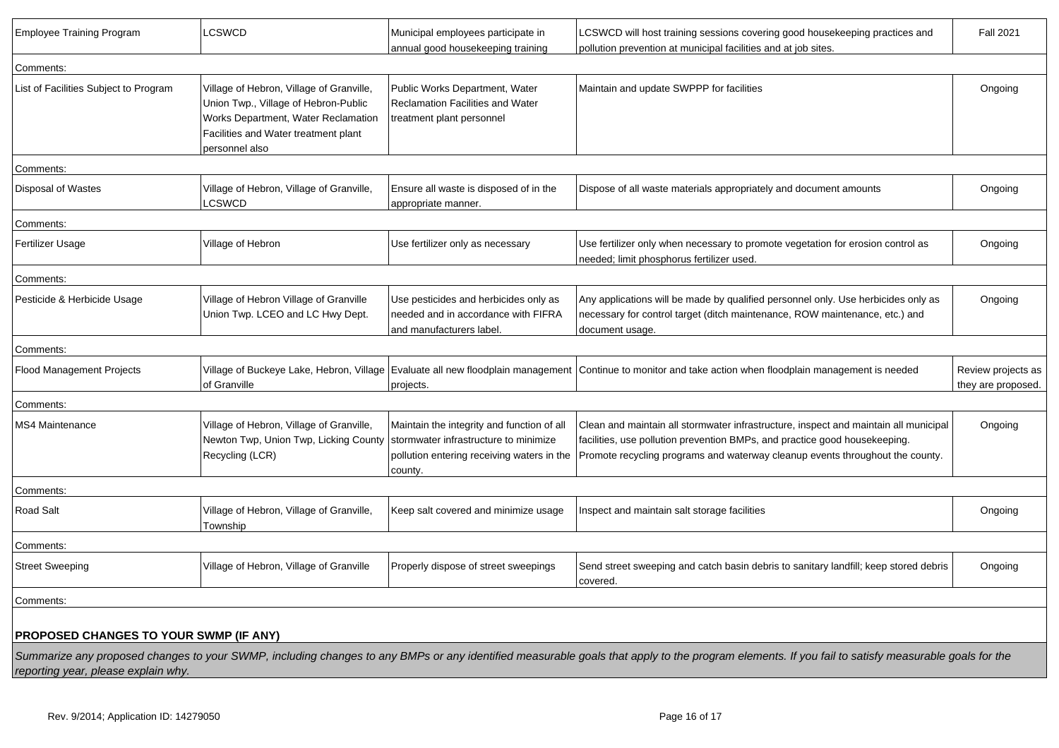| <b>Employee Training Program</b>       | LCSWCD                                                                                                                                                                            | Municipal employees participate in<br>annual good housekeeping training                                                                      | LCSWCD will host training sessions covering good housekeeping practices and<br>pollution prevention at municipal facilities and at job sites.                                                                                                       | <b>Fall 2021</b>                         |
|----------------------------------------|-----------------------------------------------------------------------------------------------------------------------------------------------------------------------------------|----------------------------------------------------------------------------------------------------------------------------------------------|-----------------------------------------------------------------------------------------------------------------------------------------------------------------------------------------------------------------------------------------------------|------------------------------------------|
| Comments:                              |                                                                                                                                                                                   |                                                                                                                                              |                                                                                                                                                                                                                                                     |                                          |
| List of Facilities Subject to Program  | Village of Hebron, Village of Granville,<br>Union Twp., Village of Hebron-Public<br>Works Department, Water Reclamation<br>Facilities and Water treatment plant<br>personnel also | Public Works Department, Water<br><b>Reclamation Facilities and Water</b><br>treatment plant personnel                                       | Maintain and update SWPPP for facilities                                                                                                                                                                                                            | Ongoing                                  |
| Comments:                              |                                                                                                                                                                                   |                                                                                                                                              |                                                                                                                                                                                                                                                     |                                          |
| Disposal of Wastes                     | Village of Hebron, Village of Granville,<br>LCSWCD                                                                                                                                | Ensure all waste is disposed of in the<br>appropriate manner.                                                                                | Dispose of all waste materials appropriately and document amounts                                                                                                                                                                                   | Ongoing                                  |
| Comments:                              |                                                                                                                                                                                   |                                                                                                                                              |                                                                                                                                                                                                                                                     |                                          |
| Fertilizer Usage                       | Village of Hebron                                                                                                                                                                 | Use fertilizer only as necessary                                                                                                             | Use fertilizer only when necessary to promote vegetation for erosion control as<br>needed; limit phosphorus fertilizer used.                                                                                                                        | Ongoing                                  |
| Comments:                              |                                                                                                                                                                                   |                                                                                                                                              |                                                                                                                                                                                                                                                     |                                          |
| Pesticide & Herbicide Usage            | Village of Hebron Village of Granville<br>Union Twp. LCEO and LC Hwy Dept.                                                                                                        | Use pesticides and herbicides only as<br>needed and in accordance with FIFRA<br>and manufacturers label.                                     | Any applications will be made by qualified personnel only. Use herbicides only as<br>necessary for control target (ditch maintenance, ROW maintenance, etc.) and<br>document usage.                                                                 | Ongoing                                  |
| Comments:                              |                                                                                                                                                                                   |                                                                                                                                              |                                                                                                                                                                                                                                                     |                                          |
| Flood Management Projects              | of Granville                                                                                                                                                                      | projects.                                                                                                                                    | Village of Buckeye Lake, Hebron, Village  Evaluate all new floodplain management  Continue to monitor and take action when floodplain management is needed                                                                                          | Review projects as<br>they are proposed. |
| Comments:                              |                                                                                                                                                                                   |                                                                                                                                              |                                                                                                                                                                                                                                                     |                                          |
| MS4 Maintenance                        | Village of Hebron, Village of Granville,<br>Newton Twp, Union Twp, Licking County<br>Recycling (LCR)                                                                              | Maintain the integrity and function of all<br>stormwater infrastructure to minimize<br>pollution entering receiving waters in the<br>county. | Clean and maintain all stormwater infrastructure, inspect and maintain all municipal<br>facilities, use pollution prevention BMPs, and practice good housekeeping.<br>Promote recycling programs and waterway cleanup events throughout the county. | Ongoing                                  |
| Comments:                              |                                                                                                                                                                                   |                                                                                                                                              |                                                                                                                                                                                                                                                     |                                          |
| Road Salt                              | Village of Hebron, Village of Granville,<br>Township                                                                                                                              | Keep salt covered and minimize usage                                                                                                         | Inspect and maintain salt storage facilities                                                                                                                                                                                                        | Ongoing                                  |
| Comments:                              |                                                                                                                                                                                   |                                                                                                                                              |                                                                                                                                                                                                                                                     |                                          |
| <b>Street Sweeping</b>                 | Village of Hebron, Village of Granville                                                                                                                                           | Properly dispose of street sweepings                                                                                                         | Send street sweeping and catch basin debris to sanitary landfill; keep stored debris<br>covered.                                                                                                                                                    | Ongoing                                  |
| Comments:                              |                                                                                                                                                                                   |                                                                                                                                              |                                                                                                                                                                                                                                                     |                                          |
| PROPOSED CHANGES TO YOUR SWMP (IF ANY) |                                                                                                                                                                                   |                                                                                                                                              |                                                                                                                                                                                                                                                     |                                          |
| reporting year, please explain why.    |                                                                                                                                                                                   |                                                                                                                                              | Summarize any proposed changes to your SWMP, including changes to any BMPs or any identified measurable goals that apply to the program elements. If you fail to satisfy measurable goals for the                                                   |                                          |
|                                        |                                                                                                                                                                                   |                                                                                                                                              |                                                                                                                                                                                                                                                     |                                          |